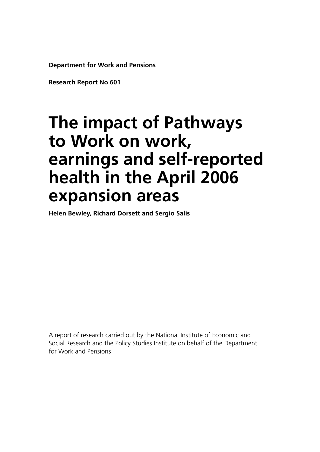**Department for Work and Pensions**

**Research Report No 601**

# **The impact of Pathways to Work on work, earnings and self-reported health in the April 2006 expansion areas**

**Helen Bewley, Richard Dorsett and Sergio Salis**

A report of research carried out by the National Institute of Economic and Social Research and the Policy Studies Institute on behalf of the Department for Work and Pensions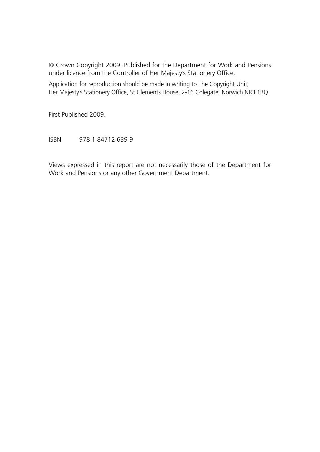© Crown Copyright 2009. Published for the Department for Work and Pensions under licence from the Controller of Her Majesty's Stationery Office.

Application for reproduction should be made in writing to The Copyright Unit, Her Majesty's Stationery Office, St Clements House, 2-16 Colegate, Norwich NR3 1BQ.

First Published 2009.

ISBN 978 1 84712 639 9

Views expressed in this report are not necessarily those of the Department for Work and Pensions or any other Government Department.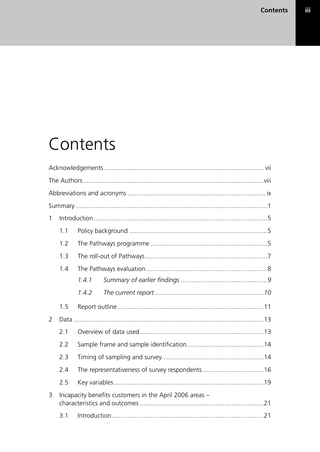# Contents

| $\mathbf{1}$  |     |                                                         |
|---------------|-----|---------------------------------------------------------|
|               | 1.1 |                                                         |
|               | 1.2 |                                                         |
|               | 1.3 |                                                         |
|               | 1.4 |                                                         |
|               |     | 1.4.1                                                   |
|               |     | 1.4.2                                                   |
|               | 1.5 |                                                         |
| $\mathcal{P}$ |     |                                                         |
|               | 2.1 |                                                         |
|               | 2.2 |                                                         |
|               | 2.3 |                                                         |
|               | 2.4 |                                                         |
|               | 2.5 |                                                         |
| 3             |     | Incapacity benefits customers in the April 2006 areas - |
|               | 3.1 |                                                         |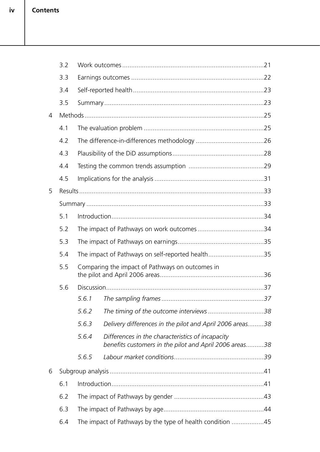|   | 3.2 |       |                                                                                                            |
|---|-----|-------|------------------------------------------------------------------------------------------------------------|
|   | 3.3 |       |                                                                                                            |
|   | 3.4 |       |                                                                                                            |
|   | 3.5 |       |                                                                                                            |
| 4 |     |       |                                                                                                            |
|   | 4.1 |       |                                                                                                            |
|   | 4.2 |       |                                                                                                            |
|   | 4.3 |       |                                                                                                            |
|   | 4.4 |       |                                                                                                            |
|   | 4.5 |       |                                                                                                            |
| 5 |     |       |                                                                                                            |
|   |     |       |                                                                                                            |
|   | 5.1 |       |                                                                                                            |
|   | 5.2 |       |                                                                                                            |
|   | 5.3 |       |                                                                                                            |
|   | 5.4 |       | The impact of Pathways on self-reported health35                                                           |
|   | 5.5 |       | Comparing the impact of Pathways on outcomes in                                                            |
|   | 5.6 |       |                                                                                                            |
|   |     | 5.6.1 |                                                                                                            |
|   |     | 5.6.2 |                                                                                                            |
|   |     | 5.6.3 | Delivery differences in the pilot and April 2006 areas38                                                   |
|   |     | 5.6.4 | Differences in the characteristics of incapacity<br>benefits customers in the pilot and April 2006 areas38 |
|   |     | 5.6.5 |                                                                                                            |
| 6 |     |       |                                                                                                            |
|   | 6.1 |       |                                                                                                            |
|   | 6.2 |       |                                                                                                            |
|   | 6.3 |       |                                                                                                            |
|   | 6.4 |       | The impact of Pathways by the type of health condition 45                                                  |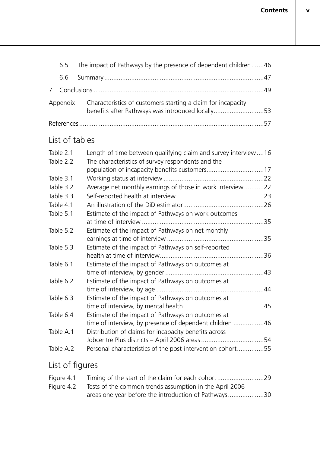|     | 6.5 The impact of Pathways by the presence of dependent children46                                                        |  |
|-----|---------------------------------------------------------------------------------------------------------------------------|--|
| 6.6 |                                                                                                                           |  |
|     |                                                                                                                           |  |
|     | Appendix Characteristics of customers starting a claim for incapacity<br>benefits after Pathways was introduced locally53 |  |
|     |                                                                                                                           |  |

## List of tables

| Table 2.1 | Length of time between qualifying claim and survey interview16 |     |
|-----------|----------------------------------------------------------------|-----|
| Table 2.2 | The characteristics of survey respondents and the              |     |
|           | population of incapacity benefits customers17                  |     |
| Table 3.1 |                                                                |     |
| Table 3.2 | Average net monthly earnings of those in work interview22      |     |
| Table 3.3 |                                                                |     |
| Table 4.1 |                                                                |     |
| Table 5.1 | Estimate of the impact of Pathways on work outcomes            |     |
|           |                                                                |     |
| Table 5.2 | Estimate of the impact of Pathways on net monthly              |     |
|           |                                                                |     |
| Table 5.3 | Estimate of the impact of Pathways on self-reported            |     |
|           |                                                                | 36  |
| Table 6.1 | Estimate of the impact of Pathways on outcomes at              |     |
|           |                                                                | .43 |
| Table 6.2 | Estimate of the impact of Pathways on outcomes at              |     |
|           |                                                                | .44 |
| Table 6.3 | Estimate of the impact of Pathways on outcomes at              |     |
|           |                                                                | .45 |
| Table 6.4 | Estimate of the impact of Pathways on outcomes at              |     |
|           | time of interview, by presence of dependent children 46        |     |
| Table A.1 | Distribution of claims for incapacity benefits across          |     |
|           |                                                                |     |
| Table A.2 | Personal characteristics of the post-intervention cohort55     |     |
|           |                                                                |     |

# List of figures

| Figure 4.2 Tests of the common trends assumption in the April 2006 |  |
|--------------------------------------------------------------------|--|
| areas one year before the introduction of Pathways30               |  |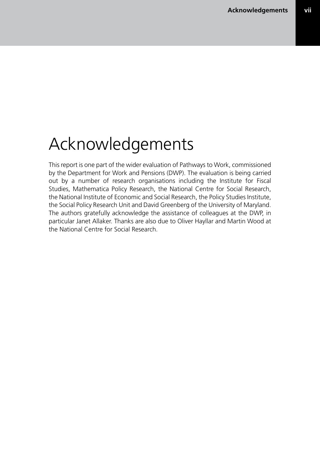# Acknowledgements

This report is one part of the wider evaluation of Pathways to Work, commissioned by the Department for Work and Pensions (DWP). The evaluation is being carried out by a number of research organisations including the Institute for Fiscal Studies, Mathematica Policy Research, the National Centre for Social Research, the National Institute of Economic and Social Research, the Policy Studies Institute, the Social Policy Research Unit and David Greenberg of the University of Maryland. The authors gratefully acknowledge the assistance of colleagues at the DWP, in particular Janet Allaker. Thanks are also due to Oliver Hayllar and Martin Wood at the National Centre for Social Research.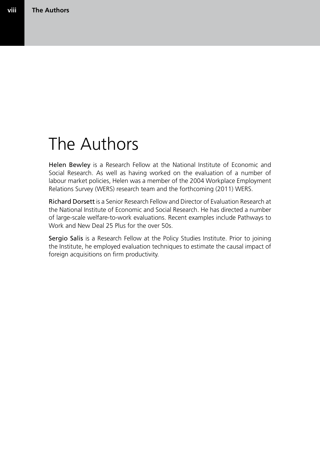# The Authors

Helen Bewley is a Research Fellow at the National Institute of Economic and Social Research. As well as having worked on the evaluation of a number of labour market policies, Helen was a member of the 2004 Workplace Employment Relations Survey (WERS) research team and the forthcoming (2011) WERS.

Richard Dorsett is a Senior Research Fellow and Director of Evaluation Research at the National Institute of Economic and Social Research. He has directed a number of large-scale welfare-to-work evaluations. Recent examples include Pathways to Work and New Deal 25 Plus for the over 50s.

Sergio Salis is a Research Fellow at the Policy Studies Institute. Prior to joining the Institute, he employed evaluation techniques to estimate the causal impact of foreign acquisitions on firm productivity.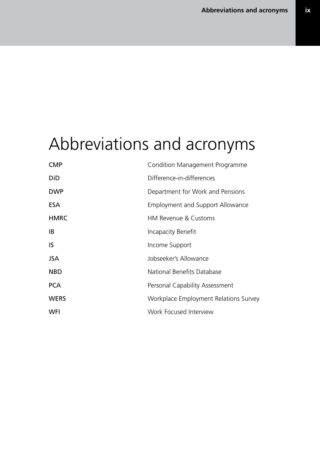# Abbreviations and acronyms

| <b>CMP</b>  | Condition Management Programme        |
|-------------|---------------------------------------|
| DiD         | Difference-in-differences             |
| <b>DWP</b>  | Department for Work and Pensions      |
| <b>ESA</b>  | Employment and Support Allowance      |
| <b>HMRC</b> | HM Revenue & Customs                  |
| IB          | Incapacity Benefit                    |
| IS          | Income Support                        |
| <b>JSA</b>  | Jobseeker's Allowance                 |
| <b>NBD</b>  | National Benefits Database            |
| <b>PCA</b>  | Personal Capability Assessment        |
| <b>WERS</b> | Workplace Employment Relations Survey |
| <b>WFI</b>  | Work Focused Interview                |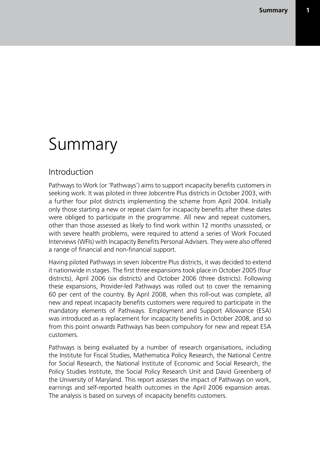# Summary

### Introduction

Pathways to Work (or 'Pathways') aims to support incapacity benefits customers in seeking work. It was piloted in three Jobcentre Plus districts in October 2003, with a further four pilot districts implementing the scheme from April 2004. Initially only those starting a new or repeat claim for incapacity benefits after these dates were obliged to participate in the programme. All new and repeat customers, other than those assessed as likely to find work within 12 months unassisted, or with severe health problems, were required to attend a series of Work Focused Interviews (WFIs) with Incapacity Benefits Personal Advisers. They were also offered a range of financial and non-financial support.

Having piloted Pathways in seven Jobcentre Plus districts, it was decided to extend it nationwide in stages. The first three expansions took place in October 2005 (four districts), April 2006 (six districts) and October 2006 (three districts). Following these expansions, Provider-led Pathways was rolled out to cover the remaining 60 per cent of the country. By April 2008, when this roll-out was complete, all new and repeat incapacity benefits customers were required to participate in the mandatory elements of Pathways. Employment and Support Allowance (ESA) was introduced as a replacement for incapacity benefits in October 2008, and so from this point onwards Pathways has been compulsory for new and repeat ESA customers.

Pathways is being evaluated by a number of research organisations, including the Institute for Fiscal Studies, Mathematica Policy Research, the National Centre for Social Research, the National Institute of Economic and Social Research, the Policy Studies Institute, the Social Policy Research Unit and David Greenberg of the University of Maryland. This report assesses the impact of Pathways on work, earnings and self-reported health outcomes in the April 2006 expansion areas. The analysis is based on surveys of incapacity benefits customers.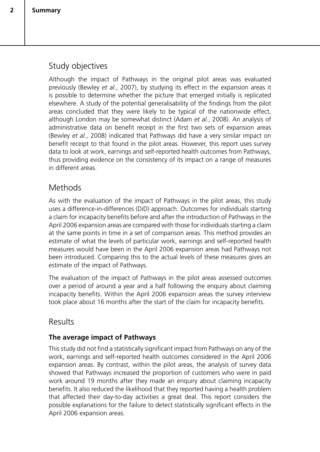## Study objectives

Although the impact of Pathways in the original pilot areas was evaluated previously (Bewley *et al.*, 2007), by studying its effect in the expansion areas it is possible to determine whether the picture that emerged initially is replicated elsewhere. A study of the potential generalisability of the findings from the pilot areas concluded that they were likely to be typical of the nationwide effect, although London may be somewhat distinct (Adam *et al.*, 2008). An analysis of administrative data on benefit receipt in the first two sets of expansion areas (Bewley *et al.*, 2008) indicated that Pathways did have a very similar impact on benefit receipt to that found in the pilot areas. However, this report uses survey data to look at work, earnings and self-reported health outcomes from Pathways, thus providing evidence on the consistency of its impact on a range of measures in different areas.

### **Methods**

As with the evaluation of the impact of Pathways in the pilot areas, this study uses a difference-in-differences (DiD) approach. Outcomes for individuals starting a claim for incapacity benefits before and after the introduction of Pathways in the April 2006 expansion areas are compared with those for individuals starting a claim at the same points in time in a set of comparison areas. This method provides an estimate of what the levels of particular work, earnings and self-reported health measures would have been in the April 2006 expansion areas had Pathways not been introduced. Comparing this to the actual levels of these measures gives an estimate of the impact of Pathways.

The evaluation of the impact of Pathways in the pilot areas assessed outcomes over a period of around a year and a half following the enquiry about claiming incapacity benefits. Within the April 2006 expansion areas the survey interview took place about 16 months after the start of the claim for incapacity benefits.

### Results

### **The average impact of Pathways**

This study did not find a statistically significant impact from Pathways on any of the work, earnings and self-reported health outcomes considered in the April 2006 expansion areas. By contrast, within the pilot areas, the analysis of survey data showed that Pathways increased the proportion of customers who were in paid work around 19 months after they made an enquiry about claiming incapacity benefits. It also reduced the likelihood that they reported having a health problem that affected their day-to-day activities a great deal. This report considers the possible explanations for the failure to detect statistically significant effects in the April 2006 expansion areas.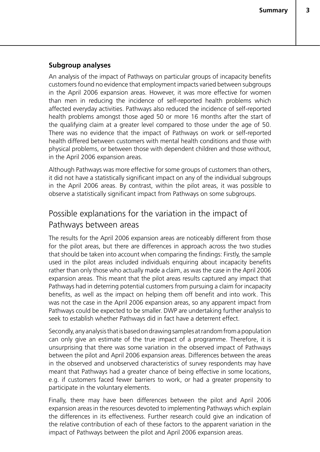#### **Subgroup analyses**

An analysis of the impact of Pathways on particular groups of incapacity benefits customers found no evidence that employment impacts varied between subgroups in the April 2006 expansion areas. However, it was more effective for women than men in reducing the incidence of self-reported health problems which affected everyday activities. Pathways also reduced the incidence of self-reported health problems amongst those aged 50 or more 16 months after the start of the qualifying claim at a greater level compared to those under the age of 50. There was no evidence that the impact of Pathways on work or self-reported health differed between customers with mental health conditions and those with physical problems, or between those with dependent children and those without, in the April 2006 expansion areas.

Although Pathways was more effective for some groups of customers than others, it did not have a statistically significant impact on any of the individual subgroups in the April 2006 areas. By contrast, within the pilot areas, it was possible to observe a statistically significant impact from Pathways on some subgroups.

## Possible explanations for the variation in the impact of Pathways between areas

The results for the April 2006 expansion areas are noticeably different from those for the pilot areas, but there are differences in approach across the two studies that should be taken into account when comparing the findings: Firstly, the sample used in the pilot areas included individuals enquiring about incapacity benefits rather than only those who actually made a claim, as was the case in the April 2006 expansion areas. This meant that the pilot areas results captured any impact that Pathways had in deterring potential customers from pursuing a claim for incapacity benefits, as well as the impact on helping them off benefit and into work. This was not the case in the April 2006 expansion areas, so any apparent impact from Pathways could be expected to be smaller. DWP are undertaking further analysis to seek to establish whether Pathways did in fact have a deterrent effect.

Secondly, any analysis that is based on drawing samples at random from a population can only give an estimate of the true impact of a programme. Therefore, it is unsurprising that there was some variation in the observed impact of Pathways between the pilot and April 2006 expansion areas. Differences between the areas in the observed and unobserved characteristics of survey respondents may have meant that Pathways had a greater chance of being effective in some locations, e.g. if customers faced fewer barriers to work, or had a greater propensity to participate in the voluntary elements.

Finally, there may have been differences between the pilot and April 2006 expansion areas in the resources devoted to implementing Pathways which explain the differences in its effectiveness. Further research could give an indication of the relative contribution of each of these factors to the apparent variation in the impact of Pathways between the pilot and April 2006 expansion areas.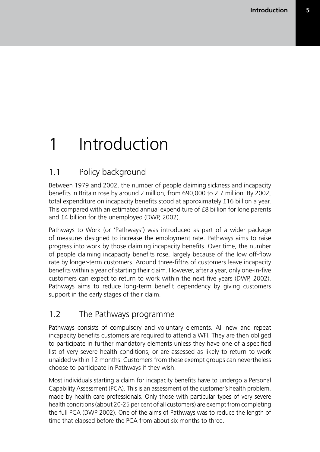# 1 Introduction

## 1.1 Policy background

Between 1979 and 2002, the number of people claiming sickness and incapacity benefits in Britain rose by around 2 million, from 690,000 to 2.7 million. By 2002, total expenditure on incapacity benefits stood at approximately £16 billion a year. This compared with an estimated annual expenditure of £8 billion for lone parents and £4 billion for the unemployed (DWP, 2002).

Pathways to Work (or 'Pathways') was introduced as part of a wider package of measures designed to increase the employment rate. Pathways aims to raise progress into work by those claiming incapacity benefits. Over time, the number of people claiming incapacity benefits rose, largely because of the low off-flow rate by longer-term customers. Around three-fifths of customers leave incapacity benefits within a year of starting their claim. However, after a year, only one-in-five customers can expect to return to work within the next five years (DWP, 2002). Pathways aims to reduce long-term benefit dependency by giving customers support in the early stages of their claim.

## 1.2 The Pathways programme

Pathways consists of compulsory and voluntary elements. All new and repeat incapacity benefits customers are required to attend a WFI. They are then obliged to participate in further mandatory elements unless they have one of a specified list of very severe health conditions, or are assessed as likely to return to work unaided within 12 months. Customers from these exempt groups can nevertheless choose to participate in Pathways if they wish.

Most individuals starting a claim for incapacity benefits have to undergo a Personal Capability Assessment (PCA). This is an assessment of the customer's health problem, made by health care professionals. Only those with particular types of very severe health conditions (about 20-25 per cent of all customers) are exempt from completing the full PCA (DWP 2002). One of the aims of Pathways was to reduce the length of time that elapsed before the PCA from about six months to three.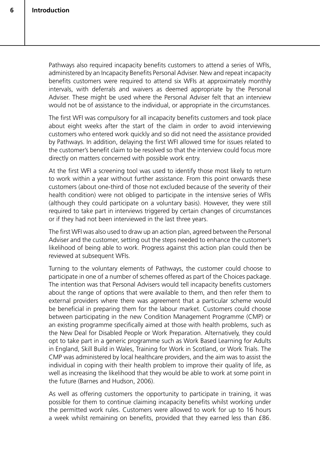Pathways also required incapacity benefits customers to attend a series of WFIs, administered by an Incapacity Benefits Personal Adviser. New and repeat incapacity benefits customers were required to attend six WFIs at approximately monthly intervals, with deferrals and waivers as deemed appropriate by the Personal Adviser. These might be used where the Personal Adviser felt that an interview would not be of assistance to the individual, or appropriate in the circumstances.

The first WFI was compulsory for all incapacity benefits customers and took place about eight weeks after the start of the claim in order to avoid interviewing customers who entered work quickly and so did not need the assistance provided by Pathways. In addition, delaying the first WFI allowed time for issues related to the customer's benefit claim to be resolved so that the interview could focus more directly on matters concerned with possible work entry.

At the first WFI a screening tool was used to identify those most likely to return to work within a year without further assistance. From this point onwards these customers (about one-third of those not excluded because of the severity of their health condition) were not obliged to participate in the intensive series of WFIs (although they could participate on a voluntary basis). However, they were still required to take part in interviews triggered by certain changes of circumstances or if they had not been interviewed in the last three years.

The first WFI was also used to draw up an action plan, agreed between the Personal Adviser and the customer, setting out the steps needed to enhance the customer's likelihood of being able to work. Progress against this action plan could then be reviewed at subsequent WFIs.

Turning to the voluntary elements of Pathways, the customer could choose to participate in one of a number of schemes offered as part of the Choices package. The intention was that Personal Advisers would tell incapacity benefits customers about the range of options that were available to them, and then refer them to external providers where there was agreement that a particular scheme would be beneficial in preparing them for the labour market. Customers could choose between participating in the new Condition Management Programme (CMP) or an existing programme specifically aimed at those with health problems, such as the New Deal for Disabled People or Work Preparation. Alternatively, they could opt to take part in a generic programme such as Work Based Learning for Adults in England, Skill Build in Wales, Training for Work in Scotland, or Work Trials. The CMP was administered by local healthcare providers, and the aim was to assist the individual in coping with their health problem to improve their quality of life, as well as increasing the likelihood that they would be able to work at some point in the future (Barnes and Hudson, 2006).

As well as offering customers the opportunity to participate in training, it was possible for them to continue claiming incapacity benefits whilst working under the permitted work rules. Customers were allowed to work for up to 16 hours a week whilst remaining on benefits, provided that they earned less than £86.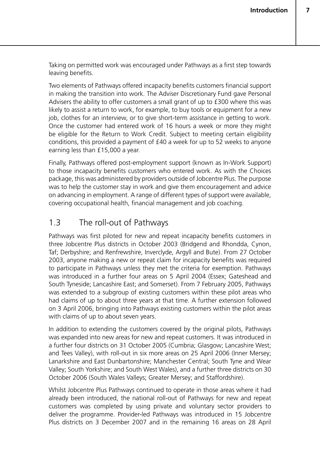Taking on permitted work was encouraged under Pathways as a first step towards leaving benefits.

Two elements of Pathways offered incapacity benefits customers financial support in making the transition into work. The Adviser Discretionary Fund gave Personal Advisers the ability to offer customers a small grant of up to £300 where this was likely to assist a return to work, for example, to buy tools or equipment for a new job, clothes for an interview, or to give short-term assistance in getting to work. Once the customer had entered work of 16 hours a week or more they might be eligible for the Return to Work Credit. Subject to meeting certain eligibility conditions, this provided a payment of £40 a week for up to 52 weeks to anyone earning less than £15,000 a year.

Finally, Pathways offered post-employment support (known as In-Work Support) to those incapacity benefits customers who entered work. As with the Choices package, this was administered by providers outside of Jobcentre Plus. The purpose was to help the customer stay in work and give them encouragement and advice on advancing in employment. A range of different types of support were available, covering occupational health, financial management and job coaching.

## 1.3 The roll-out of Pathways

Pathways was first piloted for new and repeat incapacity benefits customers in three Jobcentre Plus districts in October 2003 (Bridgend and Rhondda, Cynon, Taf; Derbyshire; and Renfrewshire, Inverclyde, Argyll and Bute). From 27 October 2003, anyone making a new or repeat claim for incapacity benefits was required to participate in Pathways unless they met the criteria for exemption. Pathways was introduced in a further four areas on 5 April 2004 (Essex; Gateshead and South Tyneside; Lancashire East; and Somerset). From 7 February 2005, Pathways was extended to a subgroup of existing customers within these pilot areas who had claims of up to about three years at that time. A further extension followed on 3 April 2006, bringing into Pathways existing customers within the pilot areas with claims of up to about seven years.

In addition to extending the customers covered by the original pilots, Pathways was expanded into new areas for new and repeat customers. It was introduced in a further four districts on 31 October 2005 (Cumbria; Glasgow; Lancashire West; and Tees Valley), with roll-out in six more areas on 25 April 2006 (Inner Mersey; Lanarkshire and East Dunbartonshire; Manchester Central; South Tyne and Wear Valley; South Yorkshire; and South West Wales), and a further three districts on 30 October 2006 (South Wales Valleys; Greater Mersey; and Staffordshire).

Whilst Jobcentre Plus Pathways continued to operate in those areas where it had already been introduced, the national roll-out of Pathways for new and repeat customers was completed by using private and voluntary sector providers to deliver the programme. Provider-led Pathways was introduced in 15 Jobcentre Plus districts on 3 December 2007 and in the remaining 16 areas on 28 April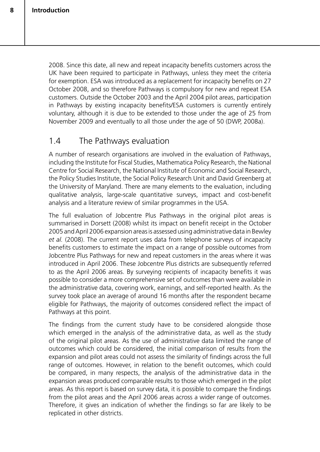2008. Since this date, all new and repeat incapacity benefits customers across the UK have been required to participate in Pathways, unless they meet the criteria for exemption. ESA was introduced as a replacement for incapacity benefits on 27 October 2008, and so therefore Pathways is compulsory for new and repeat ESA customers. Outside the October 2003 and the April 2004 pilot areas, participation in Pathways by existing incapacity benefits/ESA customers is currently entirely voluntary, although it is due to be extended to those under the age of 25 from November 2009 and eventually to all those under the age of 50 (DWP, 2008a).

### 1.4 The Pathways evaluation

A number of research organisations are involved in the evaluation of Pathways, including the Institute for Fiscal Studies, Mathematica Policy Research, the National Centre for Social Research, the National Institute of Economic and Social Research, the Policy Studies Institute, the Social Policy Research Unit and David Greenberg at the University of Maryland. There are many elements to the evaluation, including qualitative analysis, large-scale quantitative surveys, impact and cost-benefit analysis and a literature review of similar programmes in the USA.

The full evaluation of Jobcentre Plus Pathways in the original pilot areas is summarised in Dorsett (2008) whilst its impact on benefit receipt in the October 2005 and April 2006 expansion areas is assessed using administrative data in Bewley *et al.* (2008). The current report uses data from telephone surveys of incapacity benefits customers to estimate the impact on a range of possible outcomes from Jobcentre Plus Pathways for new and repeat customers in the areas where it was introduced in April 2006. These Jobcentre Plus districts are subsequently referred to as the April 2006 areas. By surveying recipients of incapacity benefits it was possible to consider a more comprehensive set of outcomes than were available in the administrative data, covering work, earnings, and self-reported health. As the survey took place an average of around 16 months after the respondent became eligible for Pathways, the majority of outcomes considered reflect the impact of Pathways at this point.

The findings from the current study have to be considered alongside those which emerged in the analysis of the administrative data, as well as the study of the original pilot areas. As the use of administrative data limited the range of outcomes which could be considered, the initial comparison of results from the expansion and pilot areas could not assess the similarity of findings across the full range of outcomes. However, in relation to the benefit outcomes, which could be compared, in many respects, the analysis of the administrative data in the expansion areas produced comparable results to those which emerged in the pilot areas. As this report is based on survey data, it is possible to compare the findings from the pilot areas and the April 2006 areas across a wider range of outcomes. Therefore, it gives an indication of whether the findings so far are likely to be replicated in other districts.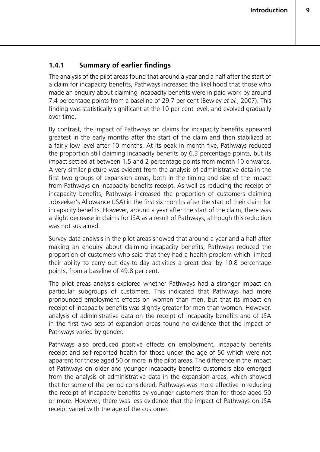#### **1.4.1 Summary of earlier findings**

The analysis of the pilot areas found that around a year and a half after the start of a claim for incapacity benefits, Pathways increased the likelihood that those who made an enquiry about claiming incapacity benefits were in paid work by around 7.4 percentage points from a baseline of 29.7 per cent (Bewley *et al.*, 2007). This finding was statistically significant at the 10 per cent level, and evolved gradually over time.

By contrast, the impact of Pathways on claims for incapacity benefits appeared greatest in the early months after the start of the claim and then stabilized at a fairly low level after 10 months. At its peak in month five, Pathways reduced the proportion still claiming incapacity benefits by 6.3 percentage points, but its impact settled at between 1.5 and 2 percentage points from month 10 onwards. A very similar picture was evident from the analysis of administrative data in the first two groups of expansion areas, both in the timing and size of the impact from Pathways on incapacity benefits receipt. As well as reducing the receipt of incapacity benefits, Pathways increased the proportion of customers claiming Jobseeker's Allowance (JSA) in the first six months after the start of their claim for incapacity benefits. However, around a year after the start of the claim, there was a slight decrease in claims for JSA as a result of Pathways, although this reduction was not sustained.

Survey data analysis in the pilot areas showed that around a year and a half after making an enquiry about claiming incapacity benefits, Pathways reduced the proportion of customers who said that they had a health problem which limited their ability to carry out day-to-day activities a great deal by 10.8 percentage points, from a baseline of 49.8 per cent.

The pilot areas analysis explored whether Pathways had a stronger impact on particular subgroups of customers. This indicated that Pathways had more pronounced employment effects on women than men, but that its impact on receipt of incapacity benefits was slightly greater for men than women. However, analysis of administrative data on the receipt of incapacity benefits and of JSA in the first two sets of expansion areas found no evidence that the impact of Pathways varied by gender.

Pathways also produced positive effects on employment, incapacity benefits receipt and self-reported health for those under the age of 50 which were not apparent for those aged 50 or more in the pilot areas. The difference in the impact of Pathways on older and younger incapacity benefits customers also emerged from the analysis of administrative data in the expansion areas, which showed that for some of the period considered, Pathways was more effective in reducing the receipt of incapacity benefits by younger customers than for those aged 50 or more. However, there was less evidence that the impact of Pathways on JSA receipt varied with the age of the customer.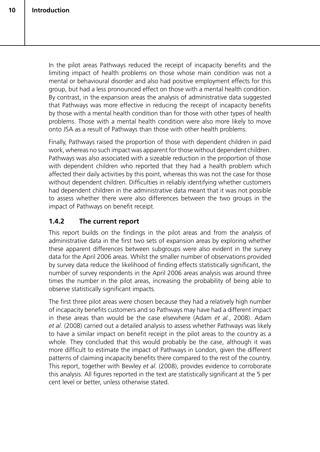In the pilot areas Pathways reduced the receipt of incapacity benefits and the limiting impact of health problems on those whose main condition was not a mental or behavioural disorder and also had positive employment effects for this group, but had a less pronounced effect on those with a mental health condition. By contrast, in the expansion areas the analysis of administrative data suggested that Pathways was more effective in reducing the receipt of incapacity benefits by those with a mental health condition than for those with other types of health problems. Those with a mental health condition were also more likely to move onto JSA as a result of Pathways than those with other health problems.

Finally, Pathways raised the proportion of those with dependent children in paid work, whereas no such impact was apparent for those without dependent children. Pathways was also associated with a sizeable reduction in the proportion of those with dependent children who reported that they had a health problem which affected their daily activities by this point, whereas this was not the case for those without dependent children. Difficulties in reliably identifying whether customers had dependent children in the administrative data meant that it was not possible to assess whether there were also differences between the two groups in the impact of Pathways on benefit receipt.

#### **1.4.2 The current report**

This report builds on the findings in the pilot areas and from the analysis of administrative data in the first two sets of expansion areas by exploring whether these apparent differences between subgroups were also evident in the survey data for the April 2006 areas. Whilst the smaller number of observations provided by survey data reduce the likelihood of finding effects statistically significant, the number of survey respondents in the April 2006 areas analysis was around three times the number in the pilot areas, increasing the probability of being able to observe statistically significant impacts.

The first three pilot areas were chosen because they had a relatively high number of incapacity benefits customers and so Pathways may have had a different impact in these areas than would be the case elsewhere (Adam *et al.*, 2008). Adam *et al*. (2008) carried out a detailed analysis to assess whether Pathways was likely to have a similar impact on benefit receipt in the pilot areas to the country as a whole. They concluded that this would probably be the case, although it was more difficult to estimate the impact of Pathways in London, given the different patterns of claiming incapacity benefits there compared to the rest of the country. This report, together with Bewley *et al*. (2008), provides evidence to corroborate this analysis. All figures reported in the text are statistically significant at the 5 per cent level or better, unless otherwise stated.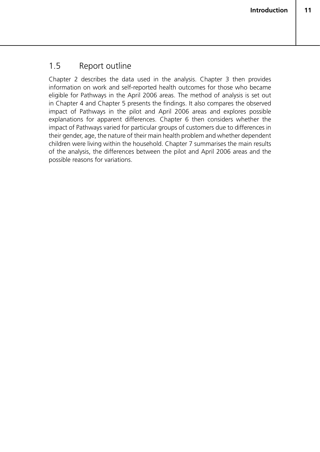## 1.5 Report outline

Chapter 2 describes the data used in the analysis. Chapter 3 then provides information on work and self-reported health outcomes for those who became eligible for Pathways in the April 2006 areas. The method of analysis is set out in Chapter 4 and Chapter 5 presents the findings. It also compares the observed impact of Pathways in the pilot and April 2006 areas and explores possible explanations for apparent differences. Chapter 6 then considers whether the impact of Pathways varied for particular groups of customers due to differences in their gender, age, the nature of their main health problem and whether dependent children were living within the household. Chapter 7 summarises the main results of the analysis, the differences between the pilot and April 2006 areas and the possible reasons for variations.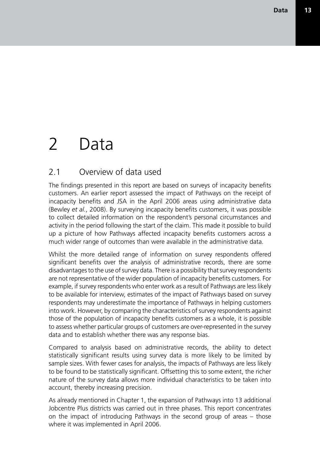# 2 Data

## 2.1 Overview of data used

The findings presented in this report are based on surveys of incapacity benefits customers. An earlier report assessed the impact of Pathways on the receipt of incapacity benefits and JSA in the April 2006 areas using administrative data (Bewley *et al.*, 2008). By surveying incapacity benefits customers, it was possible to collect detailed information on the respondent's personal circumstances and activity in the period following the start of the claim. This made it possible to build up a picture of how Pathways affected incapacity benefits customers across a much wider range of outcomes than were available in the administrative data.

Whilst the more detailed range of information on survey respondents offered significant benefits over the analysis of administrative records, there are some disadvantages to the use of survey data. There is a possibility that survey respondents are not representative of the wider population of incapacity benefits customers. For example, if survey respondents who enter work as a result of Pathways are less likely to be available for interview, estimates of the impact of Pathways based on survey respondents may underestimate the importance of Pathways in helping customers into work. However, by comparing the characteristics of survey respondents against those of the population of incapacity benefits customers as a whole, it is possible to assess whether particular groups of customers are over-represented in the survey data and to establish whether there was any response bias.

Compared to analysis based on administrative records, the ability to detect statistically significant results using survey data is more likely to be limited by sample sizes. With fewer cases for analysis, the impacts of Pathways are less likely to be found to be statistically significant. Offsetting this to some extent, the richer nature of the survey data allows more individual characteristics to be taken into account, thereby increasing precision.

As already mentioned in Chapter 1, the expansion of Pathways into 13 additional Jobcentre Plus districts was carried out in three phases. This report concentrates on the impact of introducing Pathways in the second group of areas – those where it was implemented in April 2006.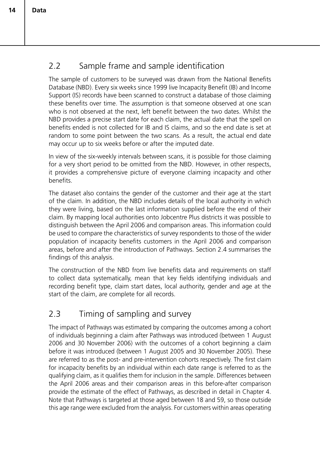# 2.2 Sample frame and sample identification

The sample of customers to be surveyed was drawn from the National Benefits Database (NBD). Every six weeks since 1999 live Incapacity Benefit (IB) and Income Support (IS) records have been scanned to construct a database of those claiming these benefits over time. The assumption is that someone observed at one scan who is not observed at the next, left benefit between the two dates. Whilst the NBD provides a precise start date for each claim, the actual date that the spell on benefits ended is not collected for IB and IS claims, and so the end date is set at random to some point between the two scans. As a result, the actual end date may occur up to six weeks before or after the imputed date.

In view of the six-weekly intervals between scans, it is possible for those claiming for a very short period to be omitted from the NBD. However, in other respects, it provides a comprehensive picture of everyone claiming incapacity and other benefits.

The dataset also contains the gender of the customer and their age at the start of the claim. In addition, the NBD includes details of the local authority in which they were living, based on the last information supplied before the end of their claim. By mapping local authorities onto Jobcentre Plus districts it was possible to distinguish between the April 2006 and comparison areas. This information could be used to compare the characteristics of survey respondents to those of the wider population of incapacity benefits customers in the April 2006 and comparison areas, before and after the introduction of Pathways. Section 2.4 summarises the findings of this analysis.

The construction of the NBD from live benefits data and requirements on staff to collect data systematically, mean that key fields identifying individuals and recording benefit type, claim start dates, local authority, gender and age at the start of the claim, are complete for all records.

## 2.3 Timing of sampling and survey

The impact of Pathways was estimated by comparing the outcomes among a cohort of individuals beginning a claim after Pathways was introduced (between 1 August 2006 and 30 November 2006) with the outcomes of a cohort beginning a claim before it was introduced (between 1 August 2005 and 30 November 2005). These are referred to as the post- and pre-intervention cohorts respectively. The first claim for incapacity benefits by an individual within each date range is referred to as the qualifying claim, as it qualifies them for inclusion in the sample. Differences between the April 2006 areas and their comparison areas in this before-after comparison provide the estimate of the effect of Pathways, as described in detail in Chapter 4. Note that Pathways is targeted at those aged between 18 and 59, so those outside this age range were excluded from the analysis. For customers within areas operating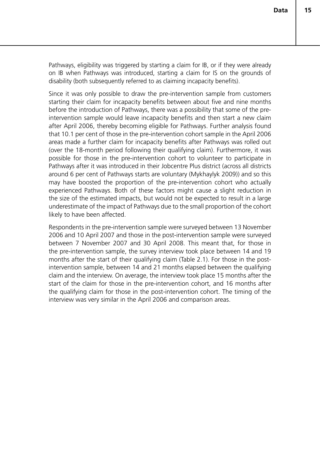Pathways, eligibility was triggered by starting a claim for IB, or if they were already on IB when Pathways was introduced, starting a claim for IS on the grounds of disability (both subsequently referred to as claiming incapacity benefits).

Since it was only possible to draw the pre-intervention sample from customers starting their claim for incapacity benefits between about five and nine months before the introduction of Pathways, there was a possibility that some of the preintervention sample would leave incapacity benefits and then start a new claim after April 2006, thereby becoming eligible for Pathways. Further analysis found that 10.1 per cent of those in the pre-intervention cohort sample in the April 2006 areas made a further claim for incapacity benefits after Pathways was rolled out (over the 18-month period following their qualifying claim). Furthermore, it was possible for those in the pre-intervention cohort to volunteer to participate in Pathways after it was introduced in their Jobcentre Plus district (across all districts around 6 per cent of Pathways starts are voluntary (Mykhaylyk 2009)) and so this may have boosted the proportion of the pre-intervention cohort who actually experienced Pathways. Both of these factors might cause a slight reduction in the size of the estimated impacts, but would not be expected to result in a large underestimate of the impact of Pathways due to the small proportion of the cohort likely to have been affected.

Respondents in the pre-intervention sample were surveyed between 13 November 2006 and 10 April 2007 and those in the post-intervention sample were surveyed between 7 November 2007 and 30 April 2008. This meant that, for those in the pre-intervention sample, the survey interview took place between 14 and 19 months after the start of their qualifying claim (Table 2.1). For those in the postintervention sample, between 14 and 21 months elapsed between the qualifying claim and the interview. On average, the interview took place 15 months after the start of the claim for those in the pre-intervention cohort, and 16 months after the qualifying claim for those in the post-intervention cohort. The timing of the interview was very similar in the April 2006 and comparison areas.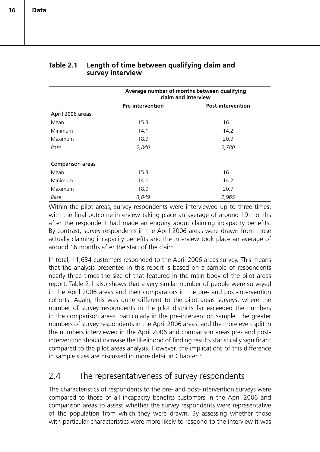|                  | Average number of months between qualifying<br>claim and interview |                          |  |
|------------------|--------------------------------------------------------------------|--------------------------|--|
|                  | <b>Pre-intervention</b>                                            | <b>Post-intervention</b> |  |
| April 2006 areas |                                                                    |                          |  |
| Mean             | 15.3                                                               | 16.1                     |  |
| <b>Minimum</b>   | 14.1                                                               | 14.2                     |  |
| Maximum          | 18.9                                                               | 20.9                     |  |
| Base             | 2,840                                                              | 2,780                    |  |
| Comparison areas |                                                                    |                          |  |
| Mean             | 15.3                                                               | 16.1                     |  |
| Minimum          | 14.1                                                               | 14.2                     |  |
| Maximum          | 18.9                                                               | 20.7                     |  |
| Base             | 3,049                                                              | 2,965                    |  |

#### **Table 2.1 Length of time between qualifying claim and survey interview**

Within the pilot areas, survey respondents were interviewed up to three times, with the final outcome interview taking place an average of around 19 months after the respondent had made an enquiry about claiming incapacity benefits. By contrast, survey respondents in the April 2006 areas were drawn from those actually claiming incapacity benefits and the interview took place an average of around 16 months after the start of the claim.

In total, 11,634 customers responded to the April 2006 areas survey. This means that the analysis presented in this report is based on a sample of respondents nearly three times the size of that featured in the main body of the pilot areas report. Table 2.1 also shows that a very similar number of people were surveyed in the April 2006 areas and their comparators in the pre- and post-intervention cohorts. Again, this was quite different to the pilot areas surveys, where the number of survey respondents in the pilot districts far exceeded the numbers in the comparison areas, particularly in the pre-intervention sample. The greater numbers of survey respondents in the April 2006 areas, and the more even split in the numbers interviewed in the April 2006 and comparison areas pre- and postintervention should increase the likelihood of finding results statistically significant compared to the pilot areas analysis. However, the implications of this difference in sample sizes are discussed in more detail in Chapter 5.

## 2.4 The representativeness of survey respondents

The characteristics of respondents to the pre- and post-intervention surveys were compared to those of all incapacity benefits customers in the April 2006 and comparison areas to assess whether the survey respondents were representative of the population from which they were drawn. By assessing whether those with particular characteristics were more likely to respond to the interview it was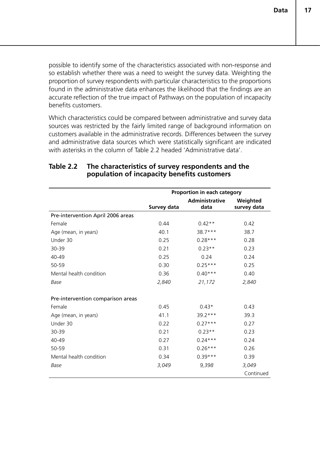possible to identify some of the characteristics associated with non-response and so establish whether there was a need to weight the survey data. Weighting the proportion of survey respondents with particular characteristics to the proportions found in the administrative data enhances the likelihood that the findings are an accurate reflection of the true impact of Pathways on the population of incapacity benefits customers.

Which characteristics could be compared between administrative and survey data sources was restricted by the fairly limited range of background information on customers available in the administrative records. Differences between the survey and administrative data sources which were statistically significant are indicated with asterisks in the column of Table 2.2 headed 'Administrative data'.

|                                   |             | Proportion in each category |             |
|-----------------------------------|-------------|-----------------------------|-------------|
|                                   |             | <b>Administrative</b>       | Weighted    |
|                                   | Survey data | data                        | survey data |
| Pre-intervention April 2006 areas |             |                             |             |
| Female                            | 0.44        | $0.42**$                    | 0.42        |
| Age (mean, in years)              | 40.1        | 38.7***                     | 38.7        |
| Under 30                          | 0.25        | $0.28***$                   | 0.28        |
| 30-39                             | 0.21        | $0.23**$                    | 0.23        |
| 40-49                             | 0.25        | 0.24                        | 0.24        |
| 50-59                             | 0.30        | $0.25***$                   | 0.25        |
| Mental health condition           | 0.36        | $0.40***$                   | 0.40        |
| Base                              | 2,840       | 21,172                      | 2,840       |
| Pre-intervention comparison areas |             |                             |             |
|                                   |             |                             |             |
| Female                            | 0.45        | $0.43*$                     | 0.43        |
| Age (mean, in years)              | 41.1        | $39.2***$                   | 39.3        |
| Under 30                          | 0.22        | $0.27***$                   | 0.27        |
| 30-39                             | 0.21        | $0.23**$                    | 0.23        |
| 40-49                             | 0.27        | $0.24***$                   | 0.24        |
| 50-59                             | 0.31        | $0.26***$                   | 0.26        |
| Mental health condition           | 0.34        | $0.39***$                   | 0.39        |
| Base                              | 3,049       | 9,398                       | 3,049       |
|                                   |             |                             | Continued   |

#### **Table 2.2 The characteristics of survey respondents and the population of incapacity benefits customers**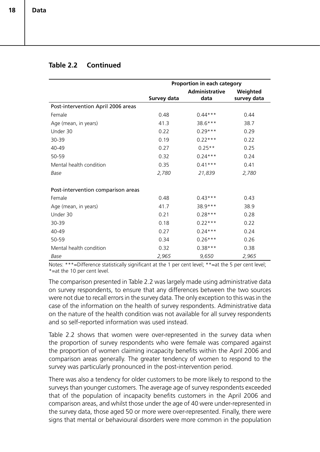#### **Table 2.2 Continued**

|                                    | Proportion in each category |                       |             |
|------------------------------------|-----------------------------|-----------------------|-------------|
|                                    |                             | <b>Administrative</b> | Weighted    |
|                                    | Survey data                 | data                  | survey data |
| Post-intervention April 2006 areas |                             |                       |             |
| Female                             | 0.48                        | $0.44***$             | 0.44        |
| Age (mean, in years)               | 41.3                        | 38.6***               | 38.7        |
| Under 30                           | 0.22                        | $0.29***$             | 0.29        |
| 30-39                              | 0.19                        | $0.22***$             | 0.22        |
| 40-49                              | 0.27                        | $0.25**$              | 0.25        |
| 50-59                              | 0.32                        | $0.24***$             | 0.24        |
| Mental health condition            | 0.35                        | $0.41***$             | 0.41        |
| Base                               | 2,780                       | 21,839                | 2,780       |
|                                    |                             |                       |             |
| Post-intervention comparison areas |                             |                       |             |
| Female                             | 0.48                        | $0.43***$             | 0.43        |
| Age (mean, in years)               | 41.7                        | 38.9 ***              | 38.9        |
| Under 30                           | 0.21                        | $0.28***$             | 0.28        |
| 30-39                              | 0.18                        | $0.22***$             | 0.22        |
| 40-49                              | 0.27                        | $0.24***$             | 0.24        |
| 50-59                              | 0.34                        | $0.26***$             | 0.26        |
| Mental health condition            | 0.32                        | $0.38***$             | 0.38        |
| Base                               | 2,965                       | 9,650                 | 2,965       |

Notes: \*\*\*=Difference statistically significant at the 1 per cent level; \*\*=at the 5 per cent level; \*=at the 10 per cent level.

The comparison presented in Table 2.2 was largely made using administrative data on survey respondents, to ensure that any differences between the two sources were not due to recall errors in the survey data. The only exception to this was in the case of the information on the health of survey respondents. Administrative data on the nature of the health condition was not available for all survey respondents and so self-reported information was used instead.

Table 2.2 shows that women were over-represented in the survey data when the proportion of survey respondents who were female was compared against the proportion of women claiming incapacity benefits within the April 2006 and comparison areas generally. The greater tendency of women to respond to the survey was particularly pronounced in the post-intervention period.

There was also a tendency for older customers to be more likely to respond to the surveys than younger customers. The average age of survey respondents exceeded that of the population of incapacity benefits customers in the April 2006 and comparison areas, and whilst those under the age of 40 were under-represented in the survey data, those aged 50 or more were over-represented. Finally, there were signs that mental or behavioural disorders were more common in the population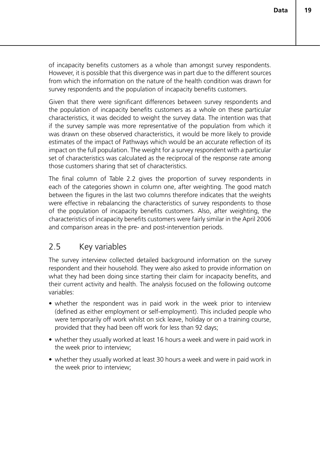of incapacity benefits customers as a whole than amongst survey respondents. However, it is possible that this divergence was in part due to the different sources from which the information on the nature of the health condition was drawn for survey respondents and the population of incapacity benefits customers.

Given that there were significant differences between survey respondents and the population of incapacity benefits customers as a whole on these particular characteristics, it was decided to weight the survey data. The intention was that if the survey sample was more representative of the population from which it was drawn on these observed characteristics, it would be more likely to provide estimates of the impact of Pathways which would be an accurate reflection of its impact on the full population. The weight for a survey respondent with a particular set of characteristics was calculated as the reciprocal of the response rate among those customers sharing that set of characteristics.

The final column of Table 2.2 gives the proportion of survey respondents in each of the categories shown in column one, after weighting. The good match between the figures in the last two columns therefore indicates that the weights were effective in rebalancing the characteristics of survey respondents to those of the population of incapacity benefits customers. Also, after weighting, the characteristics of incapacity benefits customers were fairly similar in the April 2006 and comparison areas in the pre- and post-intervention periods.

## 2.5 Key variables

The survey interview collected detailed background information on the survey respondent and their household. They were also asked to provide information on what they had been doing since starting their claim for incapacity benefits, and their current activity and health. The analysis focused on the following outcome variables:

- whether the respondent was in paid work in the week prior to interview (defined as either employment or self-employment). This included people who were temporarily off work whilst on sick leave, holiday or on a training course, provided that they had been off work for less than 92 days;
- whether they usually worked at least 16 hours a week and were in paid work in the week prior to interview;
- whether they usually worked at least 30 hours a week and were in paid work in the week prior to interview;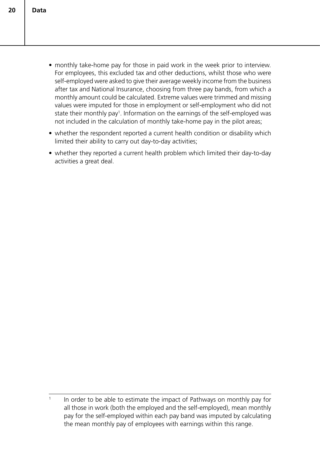- monthly take-home pay for those in paid work in the week prior to interview. For employees, this excluded tax and other deductions, whilst those who were self-employed were asked to give their average weekly income from the business after tax and National Insurance, choosing from three pay bands, from which a monthly amount could be calculated. Extreme values were trimmed and missing values were imputed for those in employment or self-employment who did not state their monthly pay<sup>1</sup>. Information on the earnings of the self-employed was not included in the calculation of monthly take-home pay in the pilot areas;
- whether the respondent reported a current health condition or disability which limited their ability to carry out day-to-day activities;
- whether they reported a current health problem which limited their day-to-day activities a great deal.

<sup>&</sup>lt;sup>1</sup> In order to be able to estimate the impact of Pathways on monthly pay for all those in work (both the employed and the self-employed), mean monthly pay for the self-employed within each pay band was imputed by calculating the mean monthly pay of employees with earnings within this range.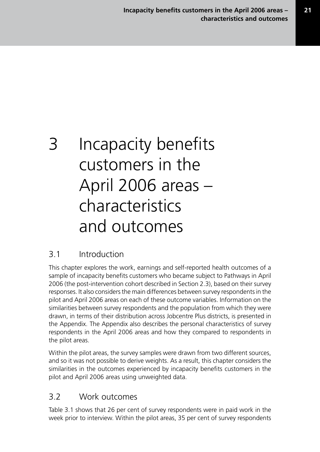# 3 Incapacity benefits customers in the April 2006 areas – characteristics and outcomes

## 3.1 Introduction

This chapter explores the work, earnings and self-reported health outcomes of a sample of incapacity benefits customers who became subject to Pathways in April 2006 (the post-intervention cohort described in Section 2.3), based on their survey responses. It also considers the main differences between survey respondents in the pilot and April 2006 areas on each of these outcome variables. Information on the similarities between survey respondents and the population from which they were drawn, in terms of their distribution across Jobcentre Plus districts, is presented in the Appendix. The Appendix also describes the personal characteristics of survey respondents in the April 2006 areas and how they compared to respondents in the pilot areas.

Within the pilot areas, the survey samples were drawn from two different sources, and so it was not possible to derive weights. As a result, this chapter considers the similarities in the outcomes experienced by incapacity benefits customers in the pilot and April 2006 areas using unweighted data.

## 3.2 Work outcomes

Table 3.1 shows that 26 per cent of survey respondents were in paid work in the week prior to interview. Within the pilot areas, 35 per cent of survey respondents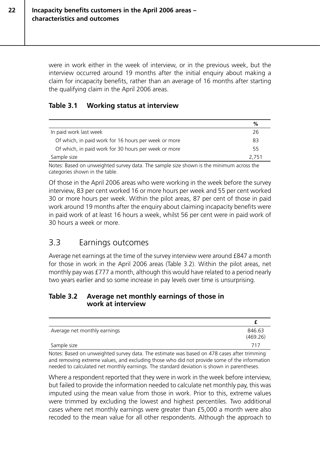were in work either in the week of interview, or in the previous week, but the interview occurred around 19 months after the initial enquiry about making a claim for incapacity benefits, rather than an average of 16 months after starting the qualifying claim in the April 2006 areas.

#### **Table 3.1 Working status at interview**

|                                                      | %     |
|------------------------------------------------------|-------|
| In paid work last week                               | 26    |
| Of which, in paid work for 16 hours per week or more | 83    |
| Of which, in paid work for 30 hours per week or more | 55    |
| Sample size                                          | 2.751 |

Notes: Based on unweighted survey data. The sample size shown is the minimum across the categories shown in the table.

Of those in the April 2006 areas who were working in the week before the survey interview, 83 per cent worked 16 or more hours per week and 55 per cent worked 30 or more hours per week. Within the pilot areas, 87 per cent of those in paid work around 19 months after the enquiry about claiming incapacity benefits were in paid work of at least 16 hours a week, whilst 56 per cent were in paid work of 30 hours a week or more.

### 3.3 Earnings outcomes

Average net earnings at the time of the survey interview were around £847 a month for those in work in the April 2006 areas (Table 3.2). Within the pilot areas, net monthly pay was £777 a month, although this would have related to a period nearly two years earlier and so some increase in pay levels over time is unsurprising.

#### **Table 3.2 Average net monthly earnings of those in work at interview**

| Average net monthly earnings | 846.63   |
|------------------------------|----------|
|                              | (469.26) |
| Sample size                  | 717      |

Notes: Based on unweighted survey data. The estimate was based on 478 cases after trimming and removing extreme values, and excluding those who did not provide some of the information needed to calculated net monthly earnings. The standard deviation is shown in parentheses.

Where a respondent reported that they were in work in the week before interview, but failed to provide the information needed to calculate net monthly pay, this was imputed using the mean value from those in work. Prior to this, extreme values were trimmed by excluding the lowest and highest percentiles. Two additional cases where net monthly earnings were greater than £5,000 a month were also recoded to the mean value for all other respondents. Although the approach to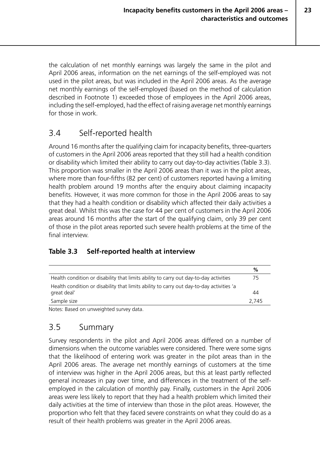the calculation of net monthly earnings was largely the same in the pilot and April 2006 areas, information on the net earnings of the self-employed was not used in the pilot areas, but was included in the April 2006 areas. As the average net monthly earnings of the self-employed (based on the method of calculation described in Footnote 1) exceeded those of employees in the April 2006 areas, including the self-employed, had the effect of raising average net monthly earnings for those in work.

## 3.4 Self-reported health

Around 16 months after the qualifying claim for incapacity benefits, three-quarters of customers in the April 2006 areas reported that they still had a health condition or disability which limited their ability to carry out day-to-day activities (Table 3.3). This proportion was smaller in the April 2006 areas than it was in the pilot areas, where more than four-fifths (82 per cent) of customers reported having a limiting health problem around 19 months after the enquiry about claiming incapacity benefits. However, it was more common for those in the April 2006 areas to say that they had a health condition or disability which affected their daily activities a great deal. Whilst this was the case for 44 per cent of customers in the April 2006 areas around 16 months after the start of the qualifying claim, only 39 per cent of those in the pilot areas reported such severe health problems at the time of the final interview.

### **Table 3.3 Self-reported health at interview**

|                                                                                          | %     |
|------------------------------------------------------------------------------------------|-------|
| Health condition or disability that limits ability to carry out day-to-day activities    | 75    |
| Health condition or disability that limits ability to carry out day-to-day activities 'a |       |
| great deal'                                                                              | 44    |
| Sample size                                                                              | 2.745 |

Notes: Based on unweighted survey data.

## 3.5 Summary

Survey respondents in the pilot and April 2006 areas differed on a number of dimensions when the outcome variables were considered. There were some signs that the likelihood of entering work was greater in the pilot areas than in the April 2006 areas. The average net monthly earnings of customers at the time of interview was higher in the April 2006 areas, but this at least partly reflected general increases in pay over time, and differences in the treatment of the selfemployed in the calculation of monthly pay. Finally, customers in the April 2006 areas were less likely to report that they had a health problem which limited their daily activities at the time of interview than those in the pilot areas. However, the proportion who felt that they faced severe constraints on what they could do as a result of their health problems was greater in the April 2006 areas.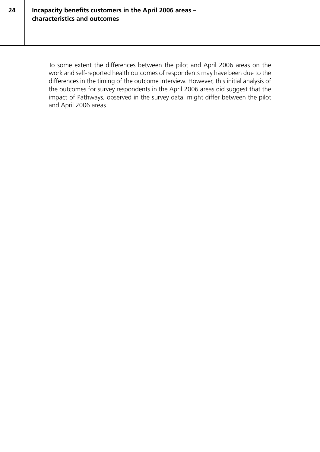**24**

To some extent the differences between the pilot and April 2006 areas on the work and self-reported health outcomes of respondents may have been due to the differences in the timing of the outcome interview. However, this initial analysis of the outcomes for survey respondents in the April 2006 areas did suggest that the impact of Pathways, observed in the survey data, might differ between the pilot and April 2006 areas.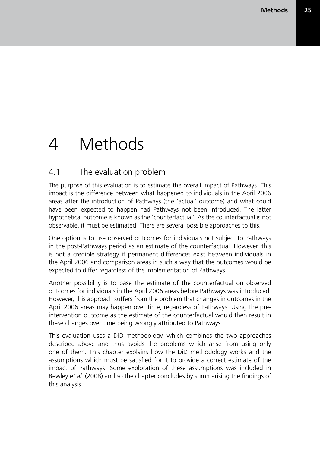# 4 Methods

### 4.1 The evaluation problem

The purpose of this evaluation is to estimate the overall impact of Pathways. This impact is the difference between what happened to individuals in the April 2006 areas after the introduction of Pathways (the 'actual' outcome) and what could have been expected to happen had Pathways not been introduced. The latter hypothetical outcome is known as the 'counterfactual'. As the counterfactual is not observable, it must be estimated. There are several possible approaches to this.

One option is to use observed outcomes for individuals not subject to Pathways in the post-Pathways period as an estimate of the counterfactual. However, this is not a credible strategy if permanent differences exist between individuals in the April 2006 and comparison areas in such a way that the outcomes would be expected to differ regardless of the implementation of Pathways.

Another possibility is to base the estimate of the counterfactual on observed outcomes for individuals in the April 2006 areas before Pathways was introduced. However, this approach suffers from the problem that changes in outcomes in the April 2006 areas may happen over time, regardless of Pathways. Using the preintervention outcome as the estimate of the counterfactual would then result in these changes over time being wrongly attributed to Pathways.

This evaluation uses a DiD methodology, which combines the two approaches described above and thus avoids the problems which arise from using only one of them. This chapter explains how the DiD methodology works and the assumptions which must be satisfied for it to provide a correct estimate of the impact of Pathways. Some exploration of these assumptions was included in Bewley *et al.* (2008) and so the chapter concludes by summarising the findings of this analysis.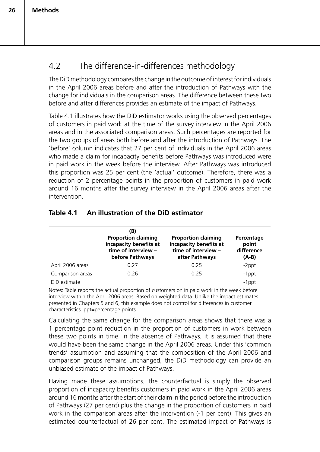## 4.2 The difference-in-differences methodology

The DiD methodology compares the change in the outcome of interest for individuals in the April 2006 areas before and after the introduction of Pathways with the change for individuals in the comparison areas. The difference between these two before and after differences provides an estimate of the impact of Pathways.

Table 4.1 illustrates how the DiD estimator works using the observed percentages of customers in paid work at the time of the survey interview in the April 2006 areas and in the associated comparison areas. Such percentages are reported for the two groups of areas both before and after the introduction of Pathways. The 'before' column indicates that 27 per cent of individuals in the April 2006 areas who made a claim for incapacity benefits before Pathways was introduced were in paid work in the week before the interview. After Pathways was introduced this proportion was 25 per cent (the 'actual' outcome). Therefore, there was a reduction of 2 percentage points in the proportion of customers in paid work around 16 months after the survey interview in the April 2006 areas after the intervention.

|                  | (B)<br><b>Proportion claiming</b><br>incapacity benefits at<br>time of interview -<br>before Pathways | <b>Proportion claiming</b><br>incapacity benefits at<br>time of interview -<br>after Pathways | Percentage<br>point<br>difference<br>$(A-B)$ |
|------------------|-------------------------------------------------------------------------------------------------------|-----------------------------------------------------------------------------------------------|----------------------------------------------|
| April 2006 areas | 0.27                                                                                                  | 0.25                                                                                          | $-2$ ppt                                     |
| Comparison areas | 0.26                                                                                                  | 0.25                                                                                          | $-1$ ppt                                     |
| DiD estimate     |                                                                                                       |                                                                                               | $-1$ ppt                                     |

### **Table 4.1 An illustration of the DiD estimator**

Notes: Table reports the actual proportion of customers on in paid work in the week before interview within the April 2006 areas. Based on weighted data. Unlike the impact estimates presented in Chapters 5 and 6, this example does not control for differences in customer characteristics. ppt=percentage points.

Calculating the same change for the comparison areas shows that there was a 1 percentage point reduction in the proportion of customers in work between these two points in time. In the absence of Pathways, it is assumed that there would have been the same change in the April 2006 areas. Under this 'common trends' assumption and assuming that the composition of the April 2006 and comparison groups remains unchanged, the DiD methodology can provide an unbiased estimate of the impact of Pathways.

Having made these assumptions, the counterfactual is simply the observed proportion of incapacity benefits customers in paid work in the April 2006 areas around 16 months after the start of their claim in the period before the introduction of Pathways (27 per cent) plus the change in the proportion of customers in paid work in the comparison areas after the intervention (-1 per cent). This gives an estimated counterfactual of 26 per cent. The estimated impact of Pathways is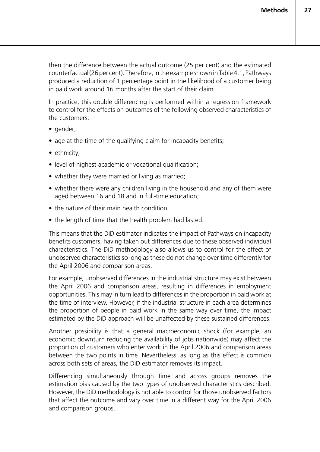then the difference between the actual outcome (25 per cent) and the estimated counterfactual (26 per cent). Therefore, in the example shown in Table 4.1, Pathways produced a reduction of 1 percentage point in the likelihood of a customer being in paid work around 16 months after the start of their claim.

In practice, this double differencing is performed within a regression framework to control for the effects on outcomes of the following observed characteristics of the customers:

- gender:
- age at the time of the qualifying claim for incapacity benefits;
- ethnicity;
- level of highest academic or vocational qualification;
- whether they were married or living as married;
- whether there were any children living in the household and any of them were aged between 16 and 18 and in full-time education;
- the nature of their main health condition;
- the length of time that the health problem had lasted.

This means that the DiD estimator indicates the impact of Pathways on incapacity benefits customers, having taken out differences due to these observed individual characteristics. The DiD methodology also allows us to control for the effect of unobserved characteristics so long as these do not change over time differently for the April 2006 and comparison areas.

For example, unobserved differences in the industrial structure may exist between the April 2006 and comparison areas, resulting in differences in employment opportunities. This may in turn lead to differences in the proportion in paid work at the time of interview. However, if the industrial structure in each area determines the proportion of people in paid work in the same way over time, the impact estimated by the DiD approach will be unaffected by these sustained differences.

Another possibility is that a general macroeconomic shock (for example, an economic downturn reducing the availability of jobs nationwide) may affect the proportion of customers who enter work in the April 2006 and comparison areas between the two points in time. Nevertheless, as long as this effect is common across both sets of areas, the DiD estimator removes its impact.

Differencing simultaneously through time and across groups removes the estimation bias caused by the two types of unobserved characteristics described. However, the DiD methodology is not able to control for those unobserved factors that affect the outcome and vary over time in a different way for the April 2006 and comparison groups.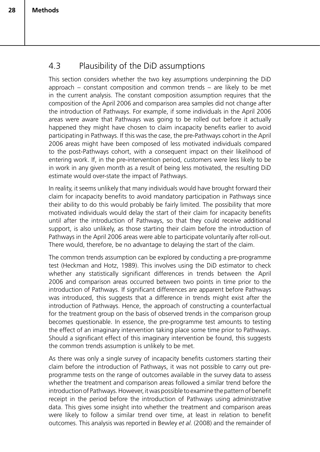## 4.3 Plausibility of the DiD assumptions

This section considers whether the two key assumptions underpinning the DiD approach – constant composition and common trends – are likely to be met in the current analysis. The constant composition assumption requires that the composition of the April 2006 and comparison area samples did not change after the introduction of Pathways. For example, if some individuals in the April 2006 areas were aware that Pathways was going to be rolled out before it actually happened they might have chosen to claim incapacity benefits earlier to avoid participating in Pathways. If this was the case, the pre-Pathways cohort in the April 2006 areas might have been composed of less motivated individuals compared to the post-Pathways cohort, with a consequent impact on their likelihood of entering work. If, in the pre-intervention period, customers were less likely to be in work in any given month as a result of being less motivated, the resulting DiD estimate would over-state the impact of Pathways.

In reality, it seems unlikely that many individuals would have brought forward their claim for incapacity benefits to avoid mandatory participation in Pathways since their ability to do this would probably be fairly limited. The possibility that more motivated individuals would delay the start of their claim for incapacity benefits until after the introduction of Pathways, so that they could receive additional support, is also unlikely, as those starting their claim before the introduction of Pathways in the April 2006 areas were able to participate voluntarily after roll-out. There would, therefore, be no advantage to delaying the start of the claim.

The common trends assumption can be explored by conducting a pre-programme test (Heckman and Hotz, 1989). This involves using the DiD estimator to check whether any statistically significant differences in trends between the April 2006 and comparison areas occurred between two points in time prior to the introduction of Pathways. If significant differences are apparent before Pathways was introduced, this suggests that a difference in trends might exist after the introduction of Pathways. Hence, the approach of constructing a counterfactual for the treatment group on the basis of observed trends in the comparison group becomes questionable. In essence, the pre-programme test amounts to testing the effect of an imaginary intervention taking place some time prior to Pathways. Should a significant effect of this imaginary intervention be found, this suggests the common trends assumption is unlikely to be met.

As there was only a single survey of incapacity benefits customers starting their claim before the introduction of Pathways, it was not possible to carry out preprogramme tests on the range of outcomes available in the survey data to assess whether the treatment and comparison areas followed a similar trend before the introduction of Pathways. However, it was possible to examine the pattern of benefit receipt in the period before the introduction of Pathways using administrative data. This gives some insight into whether the treatment and comparison areas were likely to follow a similar trend over time, at least in relation to benefit outcomes. This analysis was reported in Bewley *et al.* (2008) and the remainder of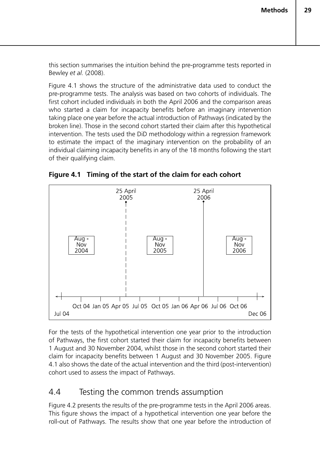this section summarises the intuition behind the pre-programme tests reported in Bewley *et al.* (2008).

Figure 4.1 shows the structure of the administrative data used to conduct the pre-programme tests. The analysis was based on two cohorts of individuals. The first cohort included individuals in both the April 2006 and the comparison areas who started a claim for incapacity benefits before an imaginary intervention taking place one year before the actual introduction of Pathways (indicated by the broken line). Those in the second cohort started their claim after this hypothetical intervention. The tests used the DiD methodology within a regression framework to estimate the impact of the imaginary intervention on the probability of an individual claiming incapacity benefits in any of the 18 months following the start of their qualifying claim.





For the tests of the hypothetical intervention one year prior to the introduction of Pathways, the first cohort started their claim for incapacity benefits between 1 August and 30 November 2004, whilst those in the second cohort started their claim for incapacity benefits between 1 August and 30 November 2005. Figure 4.1 also shows the date of the actual intervention and the third (post-intervention) cohort used to assess the impact of Pathways.

### 4.4 Testing the common trends assumption

Figure 4.2 presents the results of the pre-programme tests in the April 2006 areas. This figure shows the impact of a hypothetical intervention one year before the roll-out of Pathways. The results show that one year before the introduction of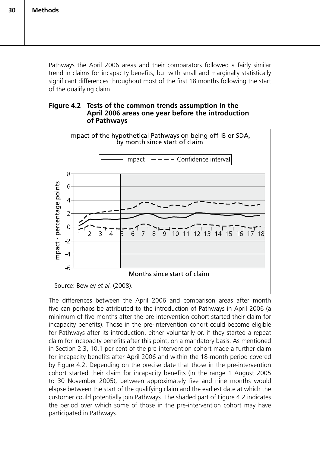Pathways the April 2006 areas and their comparators followed a fairly similar trend in claims for incapacity benefits, but with small and marginally statistically significant differences throughout most of the first 18 months following the start of the qualifying claim.

#### **Figure 4.2 Tests of the common trends assumption in the April 2006 areas one year before the introduction of Pathways**



The differences between the April 2006 and comparison areas after month five can perhaps be attributed to the introduction of Pathways in April 2006 (a minimum of five months after the pre-intervention cohort started their claim for incapacity benefits). Those in the pre-intervention cohort could become eligible for Pathways after its introduction, either voluntarily or, if they started a repeat claim for incapacity benefits after this point, on a mandatory basis. As mentioned in Section 2.3, 10.1 per cent of the pre-intervention cohort made a further claim for incapacity benefits after April 2006 and within the 18-month period covered by Figure 4.2. Depending on the precise date that those in the pre-intervention cohort started their claim for incapacity benefits (in the range 1 August 2005 to 30 November 2005), between approximately five and nine months would elapse between the start of the qualifying claim and the earliest date at which the customer could potentially join Pathways. The shaded part of Figure 4.2 indicates the period over which some of those in the pre-intervention cohort may have participated in Pathways.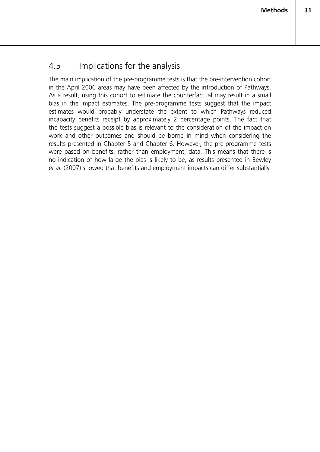## 4.5 Implications for the analysis

The main implication of the pre-programme tests is that the pre-intervention cohort in the April 2006 areas may have been affected by the introduction of Pathways. As a result, using this cohort to estimate the counterfactual may result in a small bias in the impact estimates. The pre-programme tests suggest that the impact estimates would probably understate the extent to which Pathways reduced incapacity benefits receipt by approximately 2 percentage points. The fact that the tests suggest a possible bias is relevant to the consideration of the impact on work and other outcomes and should be borne in mind when considering the results presented in Chapter 5 and Chapter 6. However, the pre-programme tests were based on benefits, rather than employment, data. This means that there is no indication of how large the bias is likely to be, as results presented in Bewley *et al.* (2007) showed that benefits and employment impacts can differ substantially.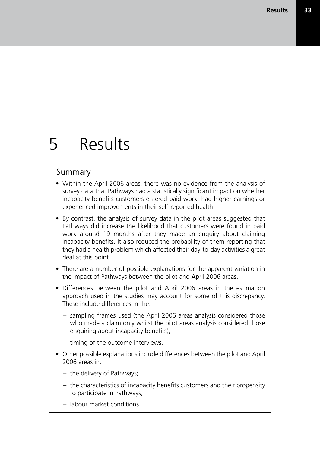# 5 Results

#### Summary

- Within the April 2006 areas, there was no evidence from the analysis of survey data that Pathways had a statistically significant impact on whether incapacity benefits customers entered paid work, had higher earnings or experienced improvements in their self-reported health.
- By contrast, the analysis of survey data in the pilot areas suggested that Pathways did increase the likelihood that customers were found in paid work around 19 months after they made an enquiry about claiming incapacity benefits. It also reduced the probability of them reporting that they had a health problem which affected their day-to-day activities a great deal at this point.
- There are a number of possible explanations for the apparent variation in the impact of Pathways between the pilot and April 2006 areas.
- Differences between the pilot and April 2006 areas in the estimation approach used in the studies may account for some of this discrepancy. These include differences in the:
	- sampling frames used (the April 2006 areas analysis considered those who made a claim only whilst the pilot areas analysis considered those enquiring about incapacity benefits);
	- timing of the outcome interviews.
- Other possible explanations include differences between the pilot and April 2006 areas in:
	- the delivery of Pathways;
	- the characteristics of incapacity benefits customers and their propensity to participate in Pathways;
	- labour market conditions.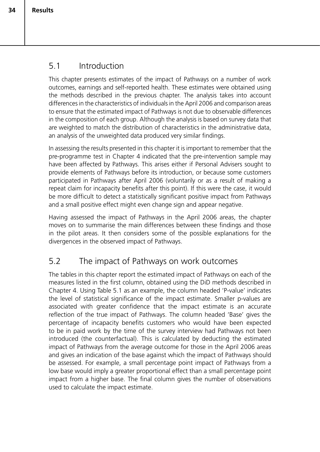## 5.1 Introduction

This chapter presents estimates of the impact of Pathways on a number of work outcomes, earnings and self-reported health. These estimates were obtained using the methods described in the previous chapter. The analysis takes into account differences in the characteristics of individuals in the April 2006 and comparison areas to ensure that the estimated impact of Pathways is not due to observable differences in the composition of each group. Although the analysis is based on survey data that are weighted to match the distribution of characteristics in the administrative data, an analysis of the unweighted data produced very similar findings.

In assessing the results presented in this chapter it is important to remember that the pre-programme test in Chapter 4 indicated that the pre-intervention sample may have been affected by Pathways. This arises either if Personal Advisers sought to provide elements of Pathways before its introduction, or because some customers participated in Pathways after April 2006 (voluntarily or as a result of making a repeat claim for incapacity benefits after this point). If this were the case, it would be more difficult to detect a statistically significant positive impact from Pathways and a small positive effect might even change sign and appear negative.

Having assessed the impact of Pathways in the April 2006 areas, the chapter moves on to summarise the main differences between these findings and those in the pilot areas. It then considers some of the possible explanations for the divergences in the observed impact of Pathways.

## 5.2 The impact of Pathways on work outcomes

The tables in this chapter report the estimated impact of Pathways on each of the measures listed in the first column, obtained using the DiD methods described in Chapter 4. Using Table 5.1 as an example, the column headed 'P-value' indicates the level of statistical significance of the impact estimate. Smaller p-values are associated with greater confidence that the impact estimate is an accurate reflection of the true impact of Pathways. The column headed 'Base' gives the percentage of incapacity benefits customers who would have been expected to be in paid work by the time of the survey interview had Pathways not been introduced (the counterfactual). This is calculated by deducting the estimated impact of Pathways from the average outcome for those in the April 2006 areas and gives an indication of the base against which the impact of Pathways should be assessed. For example, a small percentage point impact of Pathways from a low base would imply a greater proportional effect than a small percentage point impact from a higher base. The final column gives the number of observations used to calculate the impact estimate.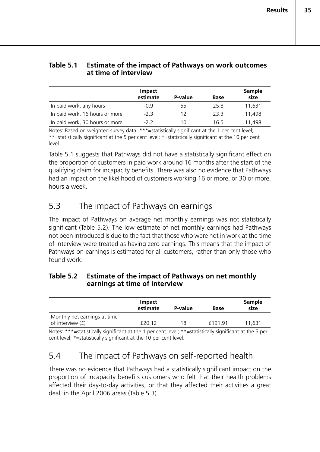#### **Table 5.1 Estimate of the impact of Pathways on work outcomes at time of interview**

|                                | <b>Impact</b><br>estimate | P-value | <b>Base</b> | <b>Sample</b><br>size |
|--------------------------------|---------------------------|---------|-------------|-----------------------|
| In paid work, any hours        | $-0.9$                    | 55      | 25.8        | 11,631                |
| In paid work, 16 hours or more | $-2.3$                    | 12      | 23.3        | 11.498                |
| In paid work, 30 hours or more | $-2.2$                    | 10      | 16.5        | 11,498                |

Notes: Based on weighted survey data. \*\*\*=statistically significant at the 1 per cent level; \*\*=statistically significant at the 5 per cent level; \*=statistically significant at the 10 per cent level.

Table 5.1 suggests that Pathways did not have a statistically significant effect on the proportion of customers in paid work around 16 months after the start of the qualifying claim for incapacity benefits. There was also no evidence that Pathways had an impact on the likelihood of customers working 16 or more, or 30 or more, hours a week.

## 5.3 The impact of Pathways on earnings

The impact of Pathways on average net monthly earnings was not statistically significant (Table 5.2). The low estimate of net monthly earnings had Pathways not been introduced is due to the fact that those who were not in work at the time of interview were treated as having zero earnings. This means that the impact of Pathways on earnings is estimated for all customers, rather than only those who found work.

#### **Table 5.2 Estimate of the impact of Pathways on net monthly earnings at time of interview**

|                                                    | <b>Impact</b><br>estimate | P-value | <b>Base</b> | <b>Sample</b><br>size |
|----------------------------------------------------|---------------------------|---------|-------------|-----------------------|
| Monthly net earnings at time<br>of interview $(f)$ | f20.12                    | 18      | £191.91     | 11.631                |
|                                                    |                           |         |             |                       |

Notes: \*\*\*=statistically significant at the 1 per cent level; \*\*=statistically significant at the 5 per cent level; \*=statistically significant at the 10 per cent level.

## 5.4 The impact of Pathways on self-reported health

There was no evidence that Pathways had a statistically significant impact on the proportion of incapacity benefits customers who felt that their health problems affected their day-to-day activities, or that they affected their activities a great deal, in the April 2006 areas (Table 5.3).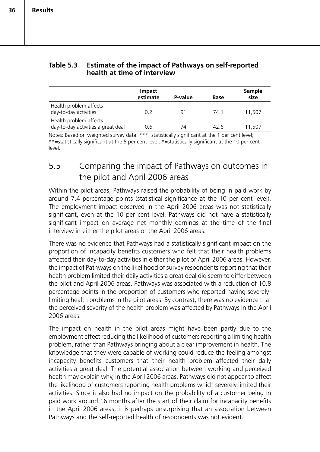|                                                              | <b>Impact</b><br>estimate | P-value | <b>Base</b> | Sample<br>size |
|--------------------------------------------------------------|---------------------------|---------|-------------|----------------|
| Health problem affects<br>day-to-day activities              | 0.2                       | 91      | 74.1        | 11,507         |
| Health problem affects<br>day-to-day activities a great deal | 0.6                       | 74      | 42.6        | 11.507         |

#### **Table 5.3 Estimate of the impact of Pathways on self-reported health at time of interview**

Notes: Based on weighted survey data. \*\*\*=statistically significant at the 1 per cent level; \*\*=statistically significant at the 5 per cent level; \*=statistically significant at the 10 per cent level.

## 5.5 Comparing the impact of Pathways on outcomes in the pilot and April 2006 areas

Within the pilot areas, Pathways raised the probability of being in paid work by around 7.4 percentage points (statistical significance at the 10 per cent level). The employment impact observed in the April 2006 areas was not statistically significant, even at the 10 per cent level. Pathways did not have a statistically significant impact on average net monthly earnings at the time of the final interview in either the pilot areas or the April 2006 areas.

There was no evidence that Pathways had a statistically significant impact on the proportion of incapacity benefits customers who felt that their health problems affected their day-to-day activities in either the pilot or April 2006 areas. However, the impact of Pathways on the likelihood of survey respondents reporting that their health problem limited their daily activities a great deal did seem to differ between the pilot and April 2006 areas. Pathways was associated with a reduction of 10.8 percentage points in the proportion of customers who reported having severelylimiting health problems in the pilot areas. By contrast, there was no evidence that the perceived severity of the health problem was affected by Pathways in the April 2006 areas.

The impact on health in the pilot areas might have been partly due to the employment effect reducing the likelihood of customers reporting a limiting health problem, rather than Pathways bringing about a clear improvement in health. The knowledge that they were capable of working could reduce the feeling amongst incapacity benefits customers that their health problem affected their daily activities a great deal. The potential association between working and perceived health may explain why, in the April 2006 areas, Pathways did not appear to affect the likelihood of customers reporting health problems which severely limited their activities. Since it also had no impact on the probability of a customer being in paid work around 16 months after the start of their claim for incapacity benefits in the April 2006 areas, it is perhaps unsurprising that an association between Pathways and the self-reported health of respondents was not evident.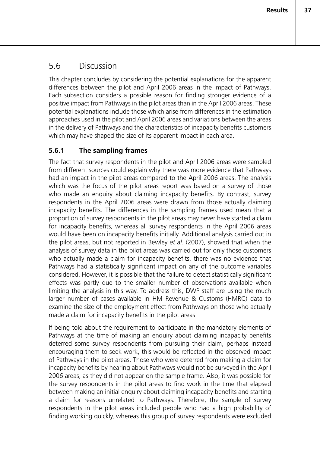## 5.6 Discussion

This chapter concludes by considering the potential explanations for the apparent differences between the pilot and April 2006 areas in the impact of Pathways. Each subsection considers a possible reason for finding stronger evidence of a positive impact from Pathways in the pilot areas than in the April 2006 areas. These potential explanations include those which arise from differences in the estimation approaches used in the pilot and April 2006 areas and variations between the areas in the delivery of Pathways and the characteristics of incapacity benefits customers which may have shaped the size of its apparent impact in each area.

### **5.6.1 The sampling frames**

The fact that survey respondents in the pilot and April 2006 areas were sampled from different sources could explain why there was more evidence that Pathways had an impact in the pilot areas compared to the April 2006 areas. The analysis which was the focus of the pilot areas report was based on a survey of those who made an enquiry about claiming incapacity benefits. By contrast, survey respondents in the April 2006 areas were drawn from those actually claiming incapacity benefits. The differences in the sampling frames used mean that a proportion of survey respondents in the pilot areas may never have started a claim for incapacity benefits, whereas all survey respondents in the April 2006 areas would have been on incapacity benefits initially. Additional analysis carried out in the pilot areas, but not reported in Bewley *et al.* (2007), showed that when the analysis of survey data in the pilot areas was carried out for only those customers who actually made a claim for incapacity benefits, there was no evidence that Pathways had a statistically significant impact on any of the outcome variables considered. However, it is possible that the failure to detect statistically significant effects was partly due to the smaller number of observations available when limiting the analysis in this way. To address this, DWP staff are using the much larger number of cases available in HM Revenue & Customs (HMRC) data to examine the size of the employment effect from Pathways on those who actually made a claim for incapacity benefits in the pilot areas.

If being told about the requirement to participate in the mandatory elements of Pathways at the time of making an enquiry about claiming incapacity benefits deterred some survey respondents from pursuing their claim, perhaps instead encouraging them to seek work, this would be reflected in the observed impact of Pathways in the pilot areas. Those who were deterred from making a claim for incapacity benefits by hearing about Pathways would not be surveyed in the April 2006 areas, as they did not appear on the sample frame. Also, it was possible for the survey respondents in the pilot areas to find work in the time that elapsed between making an initial enquiry about claiming incapacity benefits and starting a claim for reasons unrelated to Pathways. Therefore, the sample of survey respondents in the pilot areas included people who had a high probability of finding working quickly, whereas this group of survey respondents were excluded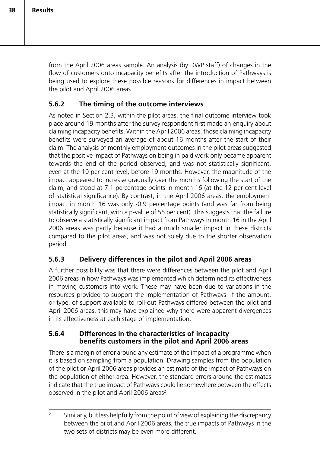from the April 2006 areas sample. An analysis (by DWP staff) of changes in the flow of customers onto incapacity benefits after the introduction of Pathways is being used to explore these possible reasons for differences in impact between the pilot and April 2006 areas.

### **5.6.2 The timing of the outcome interviews**

As noted in Section 2.3, within the pilot areas, the final outcome interview took place around 19 months after the survey respondent first made an enquiry about claiming incapacity benefits. Within the April 2006 areas, those claiming incapacity benefits were surveyed an average of about 16 months after the start of their claim. The analysis of monthly employment outcomes in the pilot areas suggested that the positive impact of Pathways on being in paid work only became apparent towards the end of the period observed, and was not statistically significant, even at the 10 per cent level, before 19 months. However, the magnitude of the impact appeared to increase gradually over the months following the start of the claim, and stood at 7.1 percentage points in month 16 (at the 12 per cent level of statistical significance). By contrast, in the April 2006 areas, the employment impact in month 16 was only -0.9 percentage points (and was far from being statistically significant, with a p-value of 55 per cent). This suggests that the failure to observe a statistically significant impact from Pathways in month 16 in the April 2006 areas was partly because it had a much smaller impact in these districts compared to the pilot areas, and was not solely due to the shorter observation period.

### **5.6.3 Delivery differences in the pilot and April 2006 areas**

A further possibility was that there were differences between the pilot and April 2006 areas in how Pathways was implemented which determined its effectiveness in moving customers into work. These may have been due to variations in the resources provided to support the implementation of Pathways. If the amount, or type, of support available to roll-out Pathways differed between the pilot and April 2006 areas, this may have explained why there were apparent divergences in its effectiveness at each stage of implementation.

#### **5.6.4 Differences in the characteristics of incapacity benefits customers in the pilot and April 2006 areas**

There is a margin of error around any estimate of the impact of a programme when it is based on sampling from a population. Drawing samples from the population of the pilot or April 2006 areas provides an estimate of the impact of Pathways on the population of either area. However, the standard errors around the estimates indicate that the true impact of Pathways could lie somewhere between the effects observed in the pilot and April 2006 areas<sup>2</sup>.

<sup>&</sup>lt;sup>2</sup> Similarly, but less helpfully from the point of view of explaining the discrepancy between the pilot and April 2006 areas, the true impacts of Pathways in the two sets of districts may be even more different.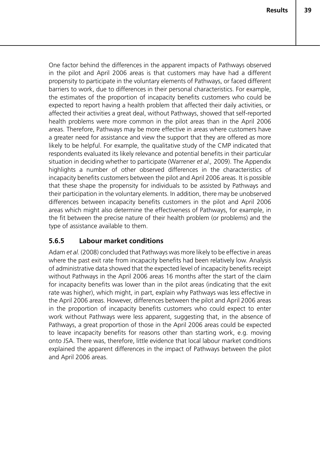One factor behind the differences in the apparent impacts of Pathways observed in the pilot and April 2006 areas is that customers may have had a different propensity to participate in the voluntary elements of Pathways, or faced different barriers to work, due to differences in their personal characteristics. For example, the estimates of the proportion of incapacity benefits customers who could be expected to report having a health problem that affected their daily activities, or affected their activities a great deal, without Pathways, showed that self-reported health problems were more common in the pilot areas than in the April 2006 areas. Therefore, Pathways may be more effective in areas where customers have a greater need for assistance and view the support that they are offered as more likely to be helpful. For example, the qualitative study of the CMP indicated that respondents evaluated its likely relevance and potential benefits in their particular situation in deciding whether to participate (Warrener *et al.,* 2009). The Appendix highlights a number of other observed differences in the characteristics of incapacity benefits customers between the pilot and April 2006 areas. It is possible that these shape the propensity for individuals to be assisted by Pathways and their participation in the voluntary elements. In addition, there may be unobserved differences between incapacity benefits customers in the pilot and April 2006 areas which might also determine the effectiveness of Pathways, for example, in the fit between the precise nature of their health problem (or problems) and the type of assistance available to them.

### **5.6.5 Labour market conditions**

Adam *et al.* (2008) concluded that Pathways was more likely to be effective in areas where the past exit rate from incapacity benefits had been relatively low. Analysis of administrative data showed that the expected level of incapacity benefits receipt without Pathways in the April 2006 areas 16 months after the start of the claim for incapacity benefits was lower than in the pilot areas (indicating that the exit rate was higher), which might, in part, explain why Pathways was less effective in the April 2006 areas. However, differences between the pilot and April 2006 areas in the proportion of incapacity benefits customers who could expect to enter work without Pathways were less apparent, suggesting that, in the absence of Pathways, a great proportion of those in the April 2006 areas could be expected to leave incapacity benefits for reasons other than starting work, e.g. moving onto JSA. There was, therefore, little evidence that local labour market conditions explained the apparent differences in the impact of Pathways between the pilot and April 2006 areas.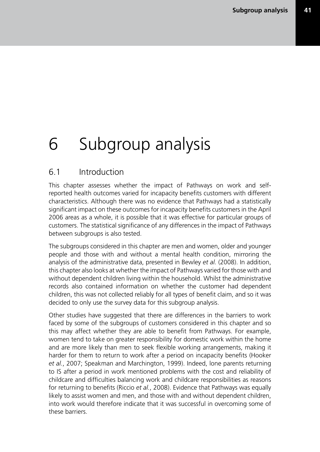# 6 Subgroup analysis

### 6.1 Introduction

This chapter assesses whether the impact of Pathways on work and selfreported health outcomes varied for incapacity benefits customers with different characteristics. Although there was no evidence that Pathways had a statistically significant impact on these outcomes for incapacity benefits customers in the April 2006 areas as a whole, it is possible that it was effective for particular groups of customers. The statistical significance of any differences in the impact of Pathways between subgroups is also tested.

The subgroups considered in this chapter are men and women, older and younger people and those with and without a mental health condition, mirroring the analysis of the administrative data, presented in Bewley *et al.* (2008). In addition, this chapter also looks at whether the impact of Pathways varied for those with and without dependent children living within the household. Whilst the administrative records also contained information on whether the customer had dependent children, this was not collected reliably for all types of benefit claim, and so it was decided to only use the survey data for this subgroup analysis.

Other studies have suggested that there are differences in the barriers to work faced by some of the subgroups of customers considered in this chapter and so this may affect whether they are able to benefit from Pathways. For example, women tend to take on greater responsibility for domestic work within the home and are more likely than men to seek flexible working arrangements, making it harder for them to return to work after a period on incapacity benefits (Hooker *et al.*, 2007; Speakman and Marchington, 1999). Indeed, lone parents returning to IS after a period in work mentioned problems with the cost and reliability of childcare and difficulties balancing work and childcare responsibilities as reasons for returning to benefits (Riccio *et al.*, 2008). Evidence that Pathways was equally likely to assist women and men, and those with and without dependent children, into work would therefore indicate that it was successful in overcoming some of these barriers.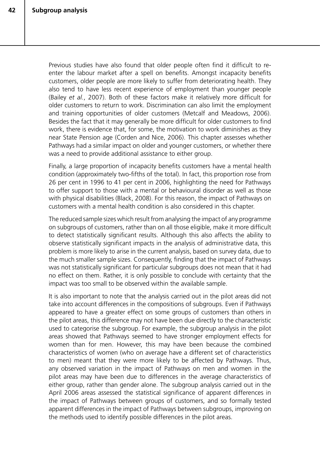Previous studies have also found that older people often find it difficult to reenter the labour market after a spell on benefits. Amongst incapacity benefits customers, older people are more likely to suffer from deteriorating health. They also tend to have less recent experience of employment than younger people (Bailey *et al.*, 2007). Both of these factors make it relatively more difficult for older customers to return to work. Discrimination can also limit the employment and training opportunities of older customers (Metcalf and Meadows, 2006). Besides the fact that it may generally be more difficult for older customers to find work, there is evidence that, for some, the motivation to work diminishes as they near State Pension age (Corden and Nice, 2006). This chapter assesses whether Pathways had a similar impact on older and younger customers, or whether there was a need to provide additional assistance to either group.

Finally, a large proportion of incapacity benefits customers have a mental health condition (approximately two-fifths of the total). In fact, this proportion rose from 26 per cent in 1996 to 41 per cent in 2006, highlighting the need for Pathways to offer support to those with a mental or behavioural disorder as well as those with physical disabilities (Black, 2008). For this reason, the impact of Pathways on customers with a mental health condition is also considered in this chapter.

The reduced sample sizes which result from analysing the impact of any programme on subgroups of customers, rather than on all those eligible, make it more difficult to detect statistically significant results. Although this also affects the ability to observe statistically significant impacts in the analysis of administrative data, this problem is more likely to arise in the current analysis, based on survey data, due to the much smaller sample sizes. Consequently, finding that the impact of Pathways was not statistically significant for particular subgroups does not mean that it had no effect on them. Rather, it is only possible to conclude with certainty that the impact was too small to be observed within the available sample.

It is also important to note that the analysis carried out in the pilot areas did not take into account differences in the compositions of subgroups. Even if Pathways appeared to have a greater effect on some groups of customers than others in the pilot areas, this difference may not have been due directly to the characteristic used to categorise the subgroup. For example, the subgroup analysis in the pilot areas showed that Pathways seemed to have stronger employment effects for women than for men. However, this may have been because the combined characteristics of women (who on average have a different set of characteristics to men) meant that they were more likely to be affected by Pathways. Thus, any observed variation in the impact of Pathways on men and women in the pilot areas may have been due to differences in the average characteristics of either group, rather than gender alone. The subgroup analysis carried out in the April 2006 areas assessed the statistical significance of apparent differences in the impact of Pathways between groups of customers, and so formally tested apparent differences in the impact of Pathways between subgroups, improving on the methods used to identify possible differences in the pilot areas.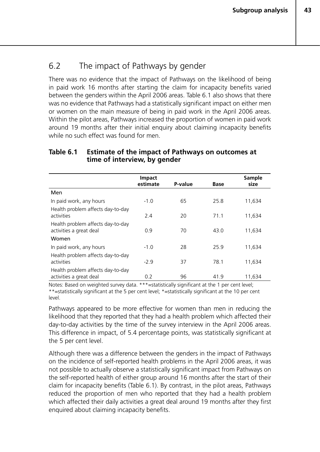## 6.2 The impact of Pathways by gender

There was no evidence that the impact of Pathways on the likelihood of being in paid work 16 months after starting the claim for incapacity benefits varied between the genders within the April 2006 areas. Table 6.1 also shows that there was no evidence that Pathways had a statistically significant impact on either men or women on the main measure of being in paid work in the April 2006 areas. Within the pilot areas, Pathways increased the proportion of women in paid work around 19 months after their initial enquiry about claiming incapacity benefits while no such effect was found for men.

#### **Table 6.1 Estimate of the impact of Pathways on outcomes at time of interview, by gender**

|                                                              | <b>Impact</b><br>estimate | P-value | <b>Base</b> | <b>Sample</b><br>size |
|--------------------------------------------------------------|---------------------------|---------|-------------|-----------------------|
| Men                                                          |                           |         |             |                       |
| In paid work, any hours                                      | $-1.0$                    | 65      | 25.8        | 11,634                |
| Health problem affects day-to-day<br>activities              | 2.4                       | 20      | 71.1        | 11,634                |
| Health problem affects day-to-day<br>activities a great deal | 0.9                       | 70      | 43.0        | 11,634                |
| Women                                                        |                           |         |             |                       |
| In paid work, any hours                                      | $-1.0$                    | 28      | 25.9        | 11,634                |
| Health problem affects day-to-day<br>activities              | $-2.9$                    | 37      | 78.1        | 11,634                |
| Health problem affects day-to-day<br>activities a great deal | 0.2                       | 96      | 41.9        | 11,634                |

Notes: Based on weighted survey data. \*\*\*=statistically significant at the 1 per cent level; \*\*=statistically significant at the 5 per cent level; \*=statistically significant at the 10 per cent level.

Pathways appeared to be more effective for women than men in reducing the likelihood that they reported that they had a health problem which affected their day-to-day activities by the time of the survey interview in the April 2006 areas. This difference in impact, of 5.4 percentage points, was statistically significant at the 5 per cent level.

Although there was a difference between the genders in the impact of Pathways on the incidence of self-reported health problems in the April 2006 areas, it was not possible to actually observe a statistically significant impact from Pathways on the self-reported health of either group around 16 months after the start of their claim for incapacity benefits (Table 6.1). By contrast, in the pilot areas, Pathways reduced the proportion of men who reported that they had a health problem which affected their daily activities a great deal around 19 months after they first enquired about claiming incapacity benefits.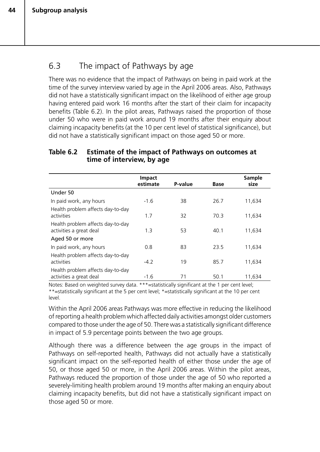## 6.3 The impact of Pathways by age

There was no evidence that the impact of Pathways on being in paid work at the time of the survey interview varied by age in the April 2006 areas. Also, Pathways did not have a statistically significant impact on the likelihood of either age group having entered paid work 16 months after the start of their claim for incapacity benefits (Table 6.2). In the pilot areas, Pathways raised the proportion of those under 50 who were in paid work around 19 months after their enquiry about claiming incapacity benefits (at the 10 per cent level of statistical significance), but did not have a statistically significant impact on those aged 50 or more.

#### **Table 6.2 Estimate of the impact of Pathways on outcomes at time of interview, by age**

|                                                              | Impact<br>estimate | P-value | <b>Base</b> | <b>Sample</b><br>size |
|--------------------------------------------------------------|--------------------|---------|-------------|-----------------------|
| Under 50                                                     |                    |         |             |                       |
| In paid work, any hours                                      | $-1.6$             | 38      | 26.7        | 11,634                |
| Health problem affects day-to-day<br>activities              | 1.7                | 32      | 70.3        | 11,634                |
| Health problem affects day-to-day<br>activities a great deal | 1.3                | 53      | 40.1        | 11,634                |
| Aged 50 or more                                              |                    |         |             |                       |
| In paid work, any hours                                      | 0.8                | 83      | 23.5        | 11,634                |
| Health problem affects day-to-day<br>activities              | $-4.2$             | 19      | 85.7        | 11,634                |
| Health problem affects day-to-day<br>activities a great deal | $-1.6$             | 71      | 50.1        | 11,634                |

Notes: Based on weighted survey data. \*\*\*=statistically significant at the 1 per cent level; \*\*=statistically significant at the 5 per cent level; \*=statistically significant at the 10 per cent level.

Within the April 2006 areas Pathways was more effective in reducing the likelihood of reporting a health problem which affected daily activities amongst older customers compared to those under the age of 50. There was a statistically significant difference in impact of 5.9 percentage points between the two age groups.

Although there was a difference between the age groups in the impact of Pathways on self-reported health, Pathways did not actually have a statistically significant impact on the self-reported health of either those under the age of 50, or those aged 50 or more, in the April 2006 areas. Within the pilot areas, Pathways reduced the proportion of those under the age of 50 who reported a severely-limiting health problem around 19 months after making an enquiry about claiming incapacity benefits, but did not have a statistically significant impact on those aged 50 or more.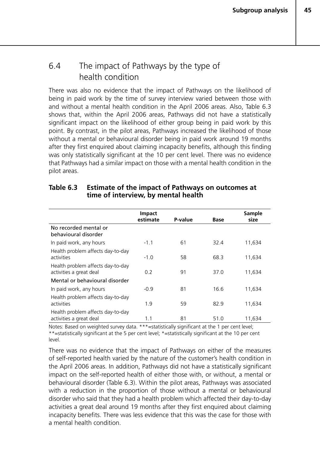## 6.4 The impact of Pathways by the type of health condition

There was also no evidence that the impact of Pathways on the likelihood of being in paid work by the time of survey interview varied between those with and without a mental health condition in the April 2006 areas. Also, Table 6.3 shows that, within the April 2006 areas, Pathways did not have a statistically significant impact on the likelihood of either group being in paid work by this point. By contrast, in the pilot areas, Pathways increased the likelihood of those without a mental or behavioural disorder being in paid work around 19 months after they first enquired about claiming incapacity benefits, although this finding was only statistically significant at the 10 per cent level. There was no evidence that Pathways had a similar impact on those with a mental health condition in the pilot areas.

|                                                              | <b>Impact</b><br>estimate | P-value | Base | <b>Sample</b><br>size |
|--------------------------------------------------------------|---------------------------|---------|------|-----------------------|
| No recorded mental or<br>behavioural disorder                |                           |         |      |                       |
| In paid work, any hours                                      | $-1.1$                    | 61      | 32.4 | 11,634                |
| Health problem affects day-to-day<br>activities              | $-1.0$                    | 58      | 68.3 | 11,634                |
| Health problem affects day-to-day<br>activities a great deal | 0.2                       | 91      | 37.0 | 11,634                |
| Mental or behavioural disorder                               |                           |         |      |                       |
| In paid work, any hours                                      | $-0.9$                    | 81      | 16.6 | 11,634                |
| Health problem affects day-to-day<br>activities              | 1.9                       | 59      | 82.9 | 11,634                |
| Health problem affects day-to-day<br>activities a great deal | 1.1                       | 81      | 51.0 | 11,634                |

#### **Table 6.3 Estimate of the impact of Pathways on outcomes at time of interview, by mental health**

Notes: Based on weighted survey data. \*\*\*=statistically significant at the 1 per cent level; \*\*=statistically significant at the 5 per cent level; \*=statistically significant at the 10 per cent level.

There was no evidence that the impact of Pathways on either of the measures of self-reported health varied by the nature of the customer's health condition in the April 2006 areas. In addition, Pathways did not have a statistically significant impact on the self-reported health of either those with, or without, a mental or behavioural disorder (Table 6.3). Within the pilot areas, Pathways was associated with a reduction in the proportion of those without a mental or behavioural disorder who said that they had a health problem which affected their day-to-day activities a great deal around 19 months after they first enquired about claiming incapacity benefits. There was less evidence that this was the case for those with a mental health condition.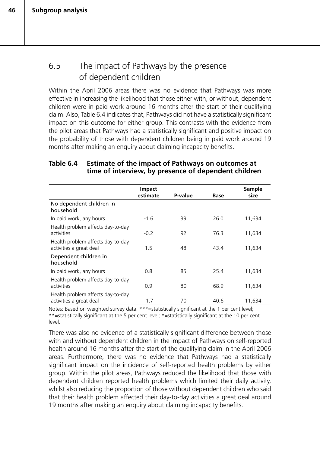**46**

## 6.5 The impact of Pathways by the presence of dependent children

Within the April 2006 areas there was no evidence that Pathways was more effective in increasing the likelihood that those either with, or without, dependent children were in paid work around 16 months after the start of their qualifying claim. Also, Table 6.4 indicates that, Pathways did not have a statistically significant impact on this outcome for either group. This contrasts with the evidence from the pilot areas that Pathways had a statistically significant and positive impact on the probability of those with dependent children being in paid work around 19 months after making an enquiry about claiming incapacity benefits.

#### **Table 6.4 Estimate of the impact of Pathways on outcomes at time of interview, by presence of dependent children**

|                                                              | <b>Impact</b><br>estimate | P-value | <b>Base</b> | Sample<br>size |
|--------------------------------------------------------------|---------------------------|---------|-------------|----------------|
| No dependent children in<br>household                        |                           |         |             |                |
| In paid work, any hours                                      | $-1.6$                    | 39      | 26.0        | 11,634         |
| Health problem affects day-to-day<br>activities              | $-0.2$                    | 92      | 76.3        | 11,634         |
| Health problem affects day-to-day<br>activities a great deal | 1.5                       | 48      | 43.4        | 11,634         |
| Dependent children in<br>household                           |                           |         |             |                |
| In paid work, any hours                                      | 0.8                       | 85      | 25.4        | 11,634         |
| Health problem affects day-to-day<br>activities              | 0.9                       | 80      | 68.9        | 11,634         |
| Health problem affects day-to-day<br>activities a great deal | $-1.7$                    | 70      | 40.6        | 11,634         |

Notes: Based on weighted survey data. \*\*\*=statistically significant at the 1 per cent level; \*\*=statistically significant at the 5 per cent level; \*=statistically significant at the 10 per cent level.

There was also no evidence of a statistically significant difference between those with and without dependent children in the impact of Pathways on self-reported health around 16 months after the start of the qualifying claim in the April 2006 areas. Furthermore, there was no evidence that Pathways had a statistically significant impact on the incidence of self-reported health problems by either group. Within the pilot areas, Pathways reduced the likelihood that those with dependent children reported health problems which limited their daily activity, whilst also reducing the proportion of those without dependent children who said that their health problem affected their day-to-day activities a great deal around 19 months after making an enquiry about claiming incapacity benefits.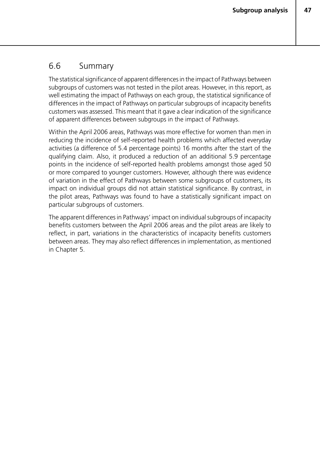### 6.6 Summary

The statistical significance of apparent differences in the impact of Pathways between subgroups of customers was not tested in the pilot areas. However, in this report, as well estimating the impact of Pathways on each group, the statistical significance of differences in the impact of Pathways on particular subgroups of incapacity benefits customers was assessed. This meant that it gave a clear indication of the significance of apparent differences between subgroups in the impact of Pathways.

Within the April 2006 areas, Pathways was more effective for women than men in reducing the incidence of self-reported health problems which affected everyday activities (a difference of 5.4 percentage points) 16 months after the start of the qualifying claim. Also, it produced a reduction of an additional 5.9 percentage points in the incidence of self-reported health problems amongst those aged 50 or more compared to younger customers. However, although there was evidence of variation in the effect of Pathways between some subgroups of customers, its impact on individual groups did not attain statistical significance. By contrast, in the pilot areas, Pathways was found to have a statistically significant impact on particular subgroups of customers.

The apparent differences in Pathways' impact on individual subgroups of incapacity benefits customers between the April 2006 areas and the pilot areas are likely to reflect, in part, variations in the characteristics of incapacity benefits customers between areas. They may also reflect differences in implementation, as mentioned in Chapter 5.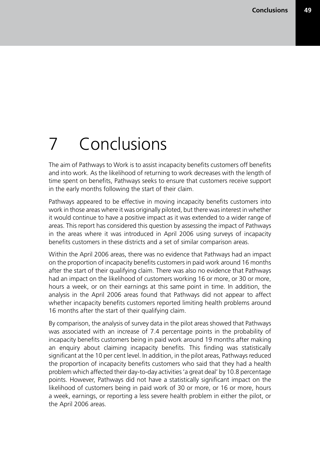# 7 Conclusions

The aim of Pathways to Work is to assist incapacity benefits customers off benefits and into work. As the likelihood of returning to work decreases with the length of time spent on benefits, Pathways seeks to ensure that customers receive support in the early months following the start of their claim.

Pathways appeared to be effective in moving incapacity benefits customers into work in those areas where it was originally piloted, but there was interest in whether it would continue to have a positive impact as it was extended to a wider range of areas. This report has considered this question by assessing the impact of Pathways in the areas where it was introduced in April 2006 using surveys of incapacity benefits customers in these districts and a set of similar comparison areas.

Within the April 2006 areas, there was no evidence that Pathways had an impact on the proportion of incapacity benefits customers in paid work around 16 months after the start of their qualifying claim. There was also no evidence that Pathways had an impact on the likelihood of customers working 16 or more, or 30 or more, hours a week, or on their earnings at this same point in time. In addition, the analysis in the April 2006 areas found that Pathways did not appear to affect whether incapacity benefits customers reported limiting health problems around 16 months after the start of their qualifying claim.

By comparison, the analysis of survey data in the pilot areas showed that Pathways was associated with an increase of 7.4 percentage points in the probability of incapacity benefits customers being in paid work around 19 months after making an enquiry about claiming incapacity benefits. This finding was statistically significant at the 10 per cent level. In addition, in the pilot areas, Pathways reduced the proportion of incapacity benefits customers who said that they had a health problem which affected their day-to-day activities 'a great deal' by 10.8 percentage points. However, Pathways did not have a statistically significant impact on the likelihood of customers being in paid work of 30 or more, or 16 or more, hours a week, earnings, or reporting a less severe health problem in either the pilot, or the April 2006 areas.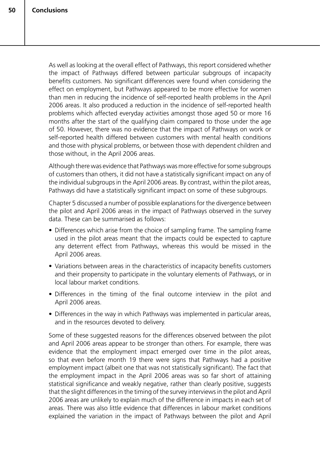As well as looking at the overall effect of Pathways, this report considered whether the impact of Pathways differed between particular subgroups of incapacity benefits customers. No significant differences were found when considering the effect on employment, but Pathways appeared to be more effective for women than men in reducing the incidence of self-reported health problems in the April 2006 areas. It also produced a reduction in the incidence of self-reported health problems which affected everyday activities amongst those aged 50 or more 16 months after the start of the qualifying claim compared to those under the age of 50. However, there was no evidence that the impact of Pathways on work or self-reported health differed between customers with mental health conditions and those with physical problems, or between those with dependent children and those without, in the April 2006 areas.

Although there was evidence that Pathways was more effective for some subgroups of customers than others, it did not have a statistically significant impact on any of the individual subgroups in the April 2006 areas. By contrast, within the pilot areas, Pathways did have a statistically significant impact on some of these subgroups.

Chapter 5 discussed a number of possible explanations for the divergence between the pilot and April 2006 areas in the impact of Pathways observed in the survey data. These can be summarised as follows:

- Differences which arise from the choice of sampling frame. The sampling frame used in the pilot areas meant that the impacts could be expected to capture any deterrent effect from Pathways, whereas this would be missed in the April 2006 areas.
- Variations between areas in the characteristics of incapacity benefits customers and their propensity to participate in the voluntary elements of Pathways, or in local labour market conditions.
- Differences in the timing of the final outcome interview in the pilot and April 2006 areas.
- Differences in the way in which Pathways was implemented in particular areas, and in the resources devoted to delivery.

Some of these suggested reasons for the differences observed between the pilot and April 2006 areas appear to be stronger than others. For example, there was evidence that the employment impact emerged over time in the pilot areas, so that even before month 19 there were signs that Pathways had a positive employment impact (albeit one that was not statistically significant). The fact that the employment impact in the April 2006 areas was so far short of attaining statistical significance and weakly negative, rather than clearly positive, suggests that the slight differences in the timing of the survey interviews in the pilot and April 2006 areas are unlikely to explain much of the difference in impacts in each set of areas. There was also little evidence that differences in labour market conditions explained the variation in the impact of Pathways between the pilot and April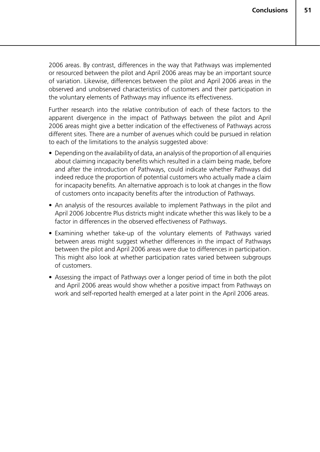2006 areas. By contrast, differences in the way that Pathways was implemented or resourced between the pilot and April 2006 areas may be an important source of variation. Likewise, differences between the pilot and April 2006 areas in the observed and unobserved characteristics of customers and their participation in the voluntary elements of Pathways may influence its effectiveness.

Further research into the relative contribution of each of these factors to the apparent divergence in the impact of Pathways between the pilot and April 2006 areas might give a better indication of the effectiveness of Pathways across different sites. There are a number of avenues which could be pursued in relation to each of the limitations to the analysis suggested above:

- Depending on the availability of data, an analysis of the proportion of all enquiries about claiming incapacity benefits which resulted in a claim being made, before and after the introduction of Pathways, could indicate whether Pathways did indeed reduce the proportion of potential customers who actually made a claim for incapacity benefits. An alternative approach is to look at changes in the flow of customers onto incapacity benefits after the introduction of Pathways.
- An analysis of the resources available to implement Pathways in the pilot and April 2006 Jobcentre Plus districts might indicate whether this was likely to be a factor in differences in the observed effectiveness of Pathways.
- Examining whether take-up of the voluntary elements of Pathways varied between areas might suggest whether differences in the impact of Pathways between the pilot and April 2006 areas were due to differences in participation. This might also look at whether participation rates varied between subgroups of customers.
- Assessing the impact of Pathways over a longer period of time in both the pilot and April 2006 areas would show whether a positive impact from Pathways on work and self-reported health emerged at a later point in the April 2006 areas.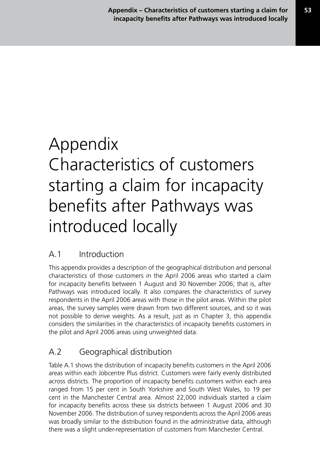# Appendix Characteristics of customers starting a claim for incapacity benefits after Pathways was introduced locally

# A.1 Introduction

This appendix provides a description of the geographical distribution and personal characteristics of those customers in the April 2006 areas who started a claim for incapacity benefits between 1 August and 30 November 2006; that is, after Pathways was introduced locally. It also compares the characteristics of survey respondents in the April 2006 areas with those in the pilot areas. Within the pilot areas, the survey samples were drawn from two different sources, and so it was not possible to derive weights. As a result, just as in Chapter 3, this appendix considers the similarities in the characteristics of incapacity benefits customers in the pilot and April 2006 areas using unweighted data.

# A.2 Geographical distribution

Table A.1 shows the distribution of incapacity benefits customers in the April 2006 areas within each Jobcentre Plus district. Customers were fairly evenly distributed across districts. The proportion of incapacity benefits customers within each area ranged from 15 per cent in South Yorkshire and South West Wales, to 19 per cent in the Manchester Central area. Almost 22,000 individuals started a claim for incapacity benefits across these six districts between 1 August 2006 and 30 November 2006. The distribution of survey respondents across the April 2006 areas was broadly similar to the distribution found in the administrative data, although there was a slight under-representation of customers from Manchester Central.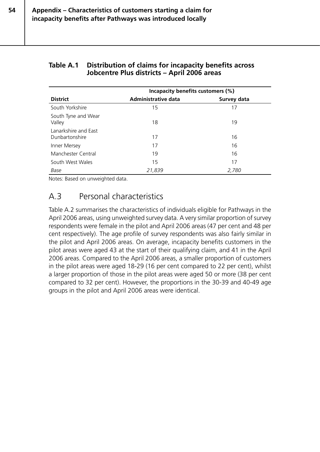#### **Table A.1 Distribution of claims for incapacity benefits across Jobcentre Plus districts – April 2006 areas**

|                                        | Incapacity benefits customers (%) |             |  |
|----------------------------------------|-----------------------------------|-------------|--|
| <b>District</b>                        | Administrative data               | Survey data |  |
| South Yorkshire                        | 15                                | 17          |  |
| South Tyne and Wear<br>Valley          | 18                                | 19          |  |
| Lanarkshire and East<br>Dunbartonshire | 17                                | 16          |  |
| Inner Mersey                           | 17                                | 16          |  |
| Manchester Central                     | 19                                | 16          |  |
| South West Wales                       | 15                                | 17          |  |
| Base                                   | 21,839                            | 2,780       |  |

Notes: Based on unweighted data.

## A.3 Personal characteristics

Table A.2 summarises the characteristics of individuals eligible for Pathways in the April 2006 areas, using unweighted survey data. A very similar proportion of survey respondents were female in the pilot and April 2006 areas (47 per cent and 48 per cent respectively). The age profile of survey respondents was also fairly similar in the pilot and April 2006 areas. On average, incapacity benefits customers in the pilot areas were aged 43 at the start of their qualifying claim, and 41 in the April 2006 areas. Compared to the April 2006 areas, a smaller proportion of customers in the pilot areas were aged 18-29 (16 per cent compared to 22 per cent), whilst a larger proportion of those in the pilot areas were aged 50 or more (38 per cent compared to 32 per cent). However, the proportions in the 30-39 and 40-49 age groups in the pilot and April 2006 areas were identical.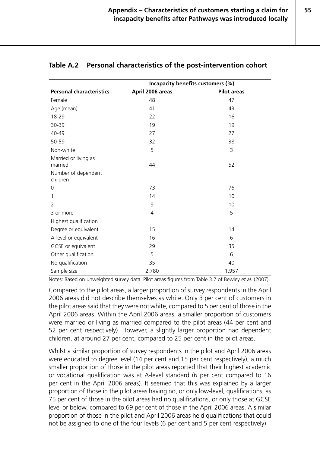**55**

|                                 | Incapacity benefits customers (%) |                    |  |
|---------------------------------|-----------------------------------|--------------------|--|
| <b>Personal characteristics</b> | April 2006 areas                  | <b>Pilot areas</b> |  |
| Female                          | 48                                | 47                 |  |
| Age (mean)                      | 41                                | 43                 |  |
| 18-29                           | 22                                | 16                 |  |
| 30-39                           | 19                                | 19                 |  |
| 40-49                           | 27                                | 27                 |  |
| 50-59                           | 32                                | 38                 |  |
| Non-white                       | 5                                 | 3                  |  |
| Married or living as<br>married | 44                                | 52                 |  |
| Number of dependent<br>children |                                   |                    |  |
| 0                               | 73                                | 76                 |  |
| 1                               | 14                                | 10                 |  |
| 2                               | 9                                 | 10                 |  |
| 3 or more                       | 4                                 | 5                  |  |
| Highest qualification           |                                   |                    |  |
| Degree or equivalent            | 15                                | 14                 |  |
| A-level or equivalent           | 16                                | 6                  |  |
| GCSE or equivalent              | 29                                | 35                 |  |
| Other qualification             | 5                                 | 6                  |  |
| No qualification                | 35                                | 40                 |  |
| Sample size                     | 2,780                             | 1,957              |  |

#### **Table A.2 Personal characteristics of the post-intervention cohort**

Notes: Based on unweighted survey data. Pilot areas figures from Table 3.2 of Bewley *et al.* (2007).

Compared to the pilot areas, a larger proportion of survey respondents in the April 2006 areas did not describe themselves as white. Only 3 per cent of customers in the pilot areas said that they were not white, compared to 5 per cent of those in the April 2006 areas. Within the April 2006 areas, a smaller proportion of customers were married or living as married compared to the pilot areas (44 per cent and 52 per cent respectively). However, a slightly larger proportion had dependent children, at around 27 per cent, compared to 25 per cent in the pilot areas.

Whilst a similar proportion of survey respondents in the pilot and April 2006 areas were educated to degree level (14 per cent and 15 per cent respectively), a much smaller proportion of those in the pilot areas reported that their highest academic or vocational qualification was at A-level standard (6 per cent compared to 16 per cent in the April 2006 areas). It seemed that this was explained by a larger proportion of those in the pilot areas having no, or only low-level, qualifications, as 75 per cent of those in the pilot areas had no qualifications, or only those at GCSE level or below, compared to 69 per cent of those in the April 2006 areas. A similar proportion of those in the pilot and April 2006 areas held qualifications that could not be assigned to one of the four levels (6 per cent and 5 per cent respectively).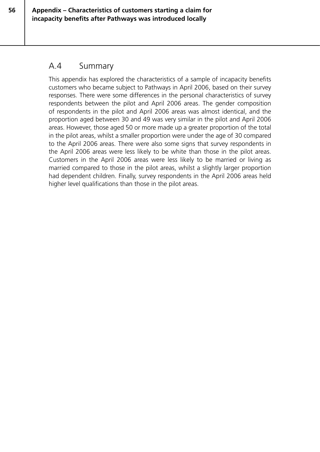## A.4 Summary

This appendix has explored the characteristics of a sample of incapacity benefits customers who became subject to Pathways in April 2006, based on their survey responses. There were some differences in the personal characteristics of survey respondents between the pilot and April 2006 areas. The gender composition of respondents in the pilot and April 2006 areas was almost identical, and the proportion aged between 30 and 49 was very similar in the pilot and April 2006 areas. However, those aged 50 or more made up a greater proportion of the total in the pilot areas, whilst a smaller proportion were under the age of 30 compared to the April 2006 areas. There were also some signs that survey respondents in the April 2006 areas were less likely to be white than those in the pilot areas. Customers in the April 2006 areas were less likely to be married or living as married compared to those in the pilot areas, whilst a slightly larger proportion had dependent children. Finally, survey respondents in the April 2006 areas held higher level qualifications than those in the pilot areas.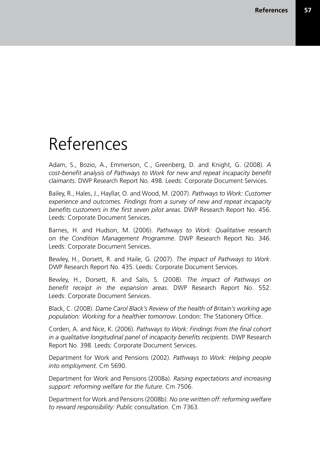# References

Adam, S., Bozio, A., Emmerson, C., Greenberg, D. and Knight, G. (2008). *A cost-benefit analysis of Pathways to Work for new and repeat incapacity benefit claimants*. DWP Research Report No. 498. Leeds: Corporate Document Services.

Bailey, R., Hales, J., Hayllar, O. and Wood, M. (2007). *Pathways to Work: Customer experience and outcomes. Findings from a survey of new and repeat incapacity benefits customers in the first seven pilot areas*. DWP Research Report No. 456. Leeds: Corporate Document Services.

Barnes, H. and Hudson, M. (2006). *Pathways to Work: Qualitative research on the Condition Management Programme*. DWP Research Report No. 346. Leeds: Corporate Document Services.

Bewley, H., Dorsett, R. and Haile, G. (2007). *The impact of Pathways to Work*. DWP Research Report No. 435. Leeds: Corporate Document Services.

Bewley, H., Dorsett, R. and Salis, S. (2008). *The impact of Pathways on benefit receipt in the expansion areas*. DWP Research Report No. 552. Leeds: Corporate Document Services.

Black, C. (2008). *Dame Carol Black's Review of the health of Britain's working age population: Working for a healthier tomorrow*. London: The Stationery Office.

Corden, A. and Nice, K. (2006). *Pathways to Work: Findings from the final cohort in a qualitative longitudinal panel of incapacity benefits recipients*. DWP Research Report No. 398. Leeds: Corporate Document Services.

Department for Work and Pensions (2002). *Pathways to Work: Helping people into employment*. Cm 5690.

Department for Work and Pensions (2008a). *Raising expectations and increasing support: reforming welfare for the future*. Cm 7506.

Department for Work and Pensions (2008b). *No one written off: reforming welfare to reward responsibility: Public consultation*. Cm 7363.